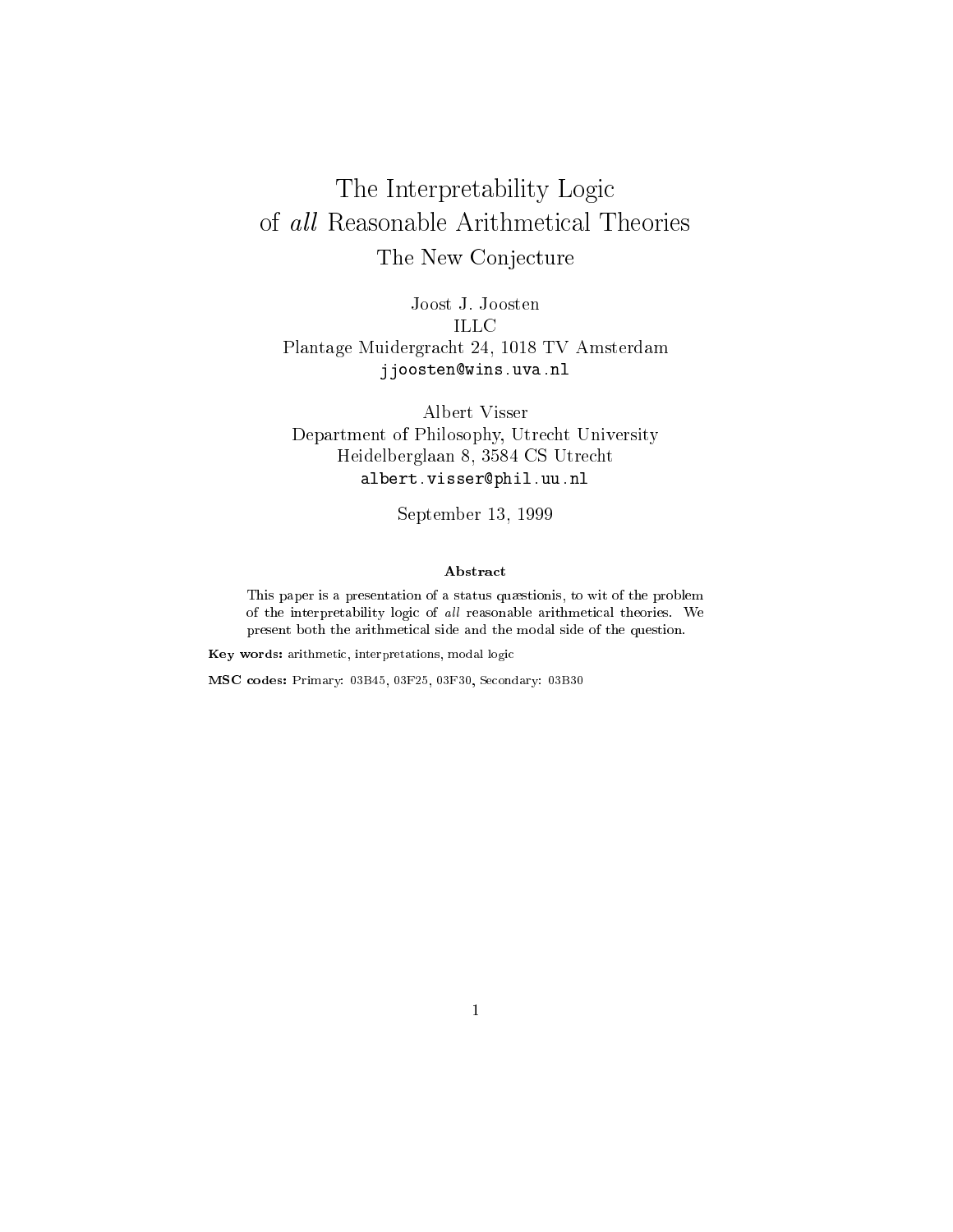# The Interpretability Logic The New Conjecture

Joost J. Joosten ILLC Plantage Muidergracht 24, 1018 TV Amsterdam jjoosten@wins.uva.nl

Albert Visser Department of Philosophy, Utrecht University Heidelberglaan 8, 3584 CS Utrecht albert.visser@phil.uu.nl

September 13, 1999

#### Abstract

This paper is <sup>a</sup> presentation of <sup>a</sup> status qustionis, to wit of the problem of the interpretability logic of all reasonable arithmetical theories. We present both the arithmetical side and the modal side of the question.

Key words: arithmetic, interpretations, modal logic

MSC codes: Primary: 03B45, 03F25, 03F30, Secondary: 03B30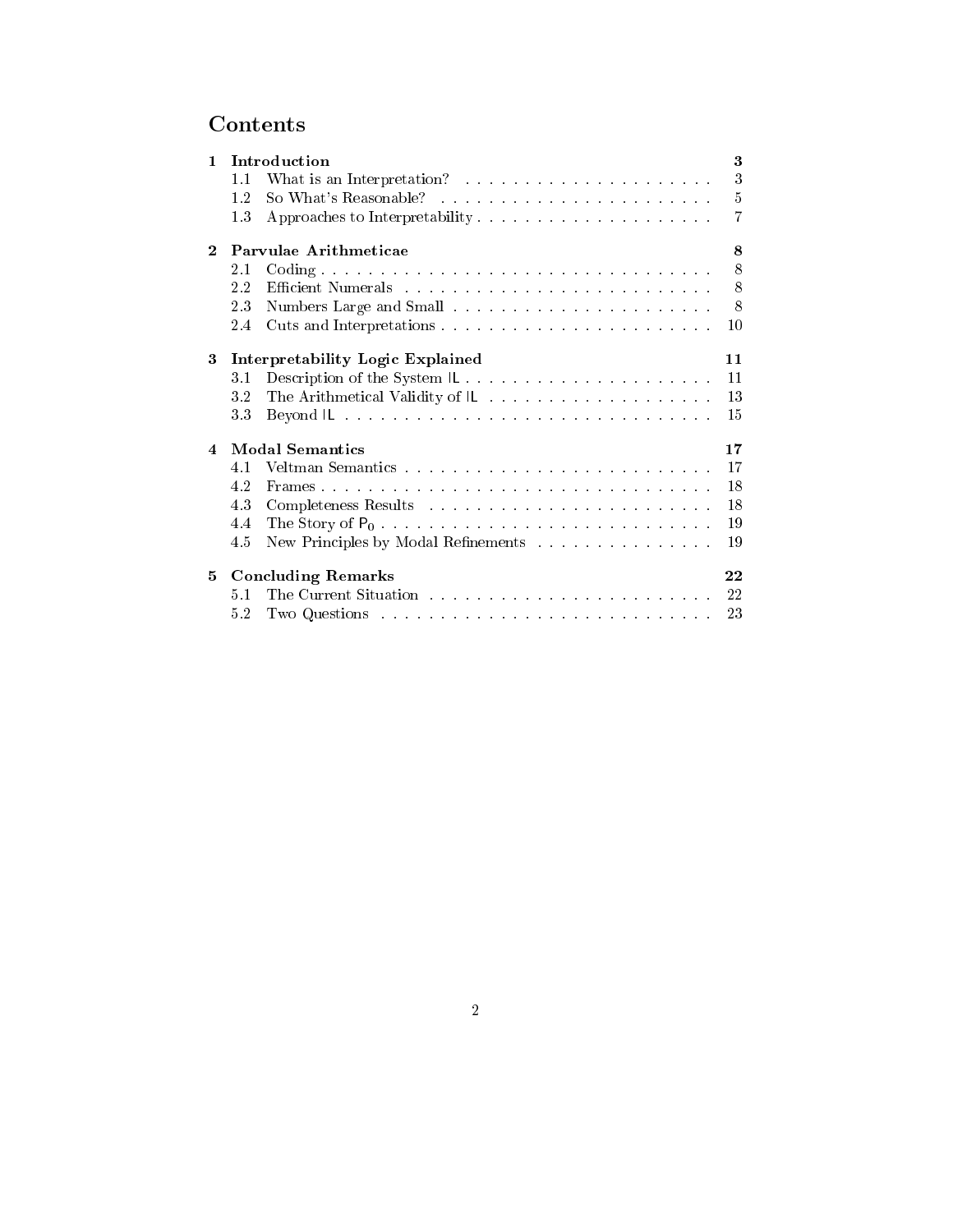# **Contents**

| $\mathbf{1}$ | 1.1<br>1.2<br>1.3                | Introduction<br>So What's Reasonable?                                                                                                                                                                                          | 3<br>3<br>$\bf 5$<br>7 |
|--------------|----------------------------------|--------------------------------------------------------------------------------------------------------------------------------------------------------------------------------------------------------------------------------|------------------------|
| $\bf{2}$     | Parvulae Arithmeticae            |                                                                                                                                                                                                                                | 8                      |
|              | 2.1                              |                                                                                                                                                                                                                                | 8                      |
|              | 2.2                              |                                                                                                                                                                                                                                | 8                      |
|              | 23                               |                                                                                                                                                                                                                                | 8                      |
|              | 2.4                              |                                                                                                                                                                                                                                | 10                     |
| 3            | Interpretability Logic Explained |                                                                                                                                                                                                                                | 11                     |
|              | 31                               | Description of the System IL                                                                                                                                                                                                   | 11                     |
|              | 32                               |                                                                                                                                                                                                                                | 13                     |
|              | 33                               | Beyond IL and a construction of the construction of the construction of the construction of the construction of the construction of the construction of the construction of the construction of the construction of the constr | 15                     |
| 4            | <b>Modal Semantics</b>           |                                                                                                                                                                                                                                | 17                     |
|              | 4.1                              |                                                                                                                                                                                                                                | 17                     |
|              | 42                               |                                                                                                                                                                                                                                | 18                     |
|              | 43                               |                                                                                                                                                                                                                                | 18                     |
|              | 4.4                              |                                                                                                                                                                                                                                | 19                     |
|              | 4.5                              | New Principles by Modal Refinements                                                                                                                                                                                            | 19                     |
| 5            | <b>Concluding Remarks</b>        |                                                                                                                                                                                                                                | 22                     |
|              | 5.1                              |                                                                                                                                                                                                                                | -22                    |
|              | 52                               |                                                                                                                                                                                                                                | 23                     |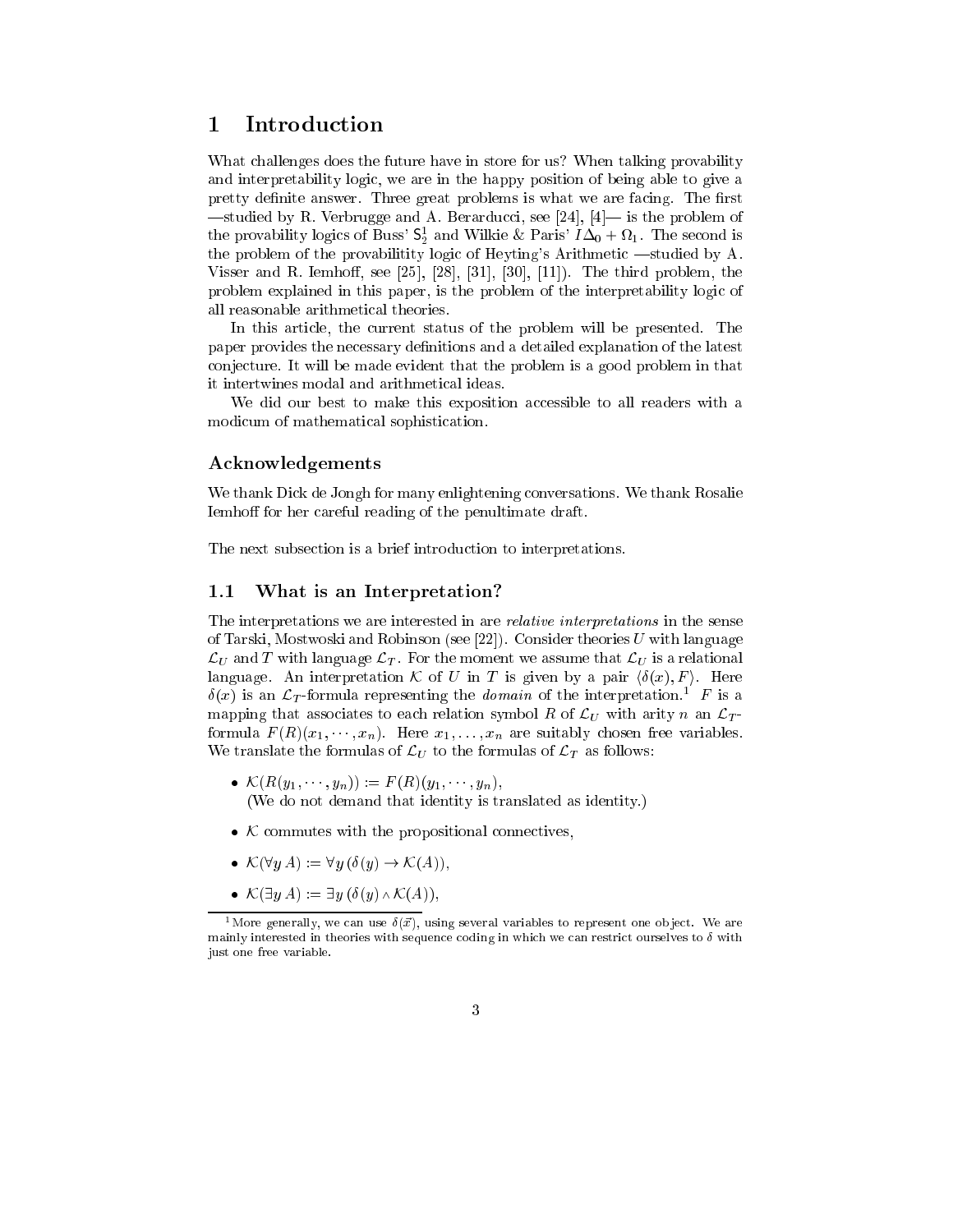#### 1 Introduction 1

What challenges does the future have in store for us? When talking provability and interpretability logic, we are in the happy position of being able to give a pretty definite answer. Three great problems is what we are facing. The first  $-$ studied by R. Verbrugge and A. Berarducci, see [24], [4]— is the problem of the provability logics of Buss'  $\mathsf{S}^1_2$  and Wilkie & Paris'  $I\Delta_0 + \Omega_1$ . The second is the problem of the provabilitity logic of Heyting's Arithmetic —studied by A. Visser and R. Iemhoff, see  $[25]$ ,  $[28]$ ,  $[31]$ ,  $[30]$ ,  $[11]$ ). The third problem, the problem explained in this paper, is the problem of the interpretability logic of all reasonable arithmetical theories.

In this article, the current status of the problem will be presented. The paper provides the necessary denitions and a detailed explanation of the latest conjecture. It will be made evident that the problem is a good problem in that it intertwines modal and arithmetical ideas.

We did our best to make this exposition accessible to all readers with a modicum of mathematical sophistication.

#### Acknowledgements

We thank Dick de Jongh for many enlightening conversations. We thank Rosalie Iemhoff for her careful reading of the penultimate draft.

The next subsection is a brief introduction to interpretations.

#### 1.1 What is an Interpretation?

The interpretations we are interested in are relative interpretations in the sense of Tarski, Mostwoski and Robinson (see [22]). Consider theories  $U$  with language  $\mathcal{L}_U$  and T with language  $\mathcal{L}_T$ . For the moment we assume that  $\mathcal{L}_U$  is a relational language. An interpretation K of U in T is given by a pair  $\langle \delta(x), F \rangle$ . Here  $\delta(x)$  is an  $\mathcal{L}_T$ -formula representing the *domain* of the interpretation.<sup>1</sup> F is a mapping that associates to each relation symbol R of  $\mathcal{L}_U$  with arity n an  $\mathcal{L}_T$ formula  $F(R)(x_1, \dots, x_n)$ . Here  $x_1, \dots, x_n$  are suitably chosen free variables. We translate the formulas of  $\mathcal{L}_U$  to the formulas of  $\mathcal{L}_T$  as follows:

- $\mathcal{K}(R(y_1, \dots, y_n)) := F(R)(y_1, \dots, y_n),$ (We do not demand that identity is translated as identity.)
- <sup>K</sup> commutes with the propositional connectives,
- $\mathcal{K}(\forall y A) := \forall y (\delta(y) \rightarrow \mathcal{K}(A)),$
- $\mathcal{K}(\exists y \, A) := \exists y \, (\delta(y) \wedge \mathcal{K}(A)),$

<sup>&</sup>lt;sup>1</sup>More generally, we can use  $\delta(\vec{x})$ , using several variables to represent one object. We are mainly interested in theories with sequence coding in which we can restrict ourselves to  $\delta$  with just one free variable.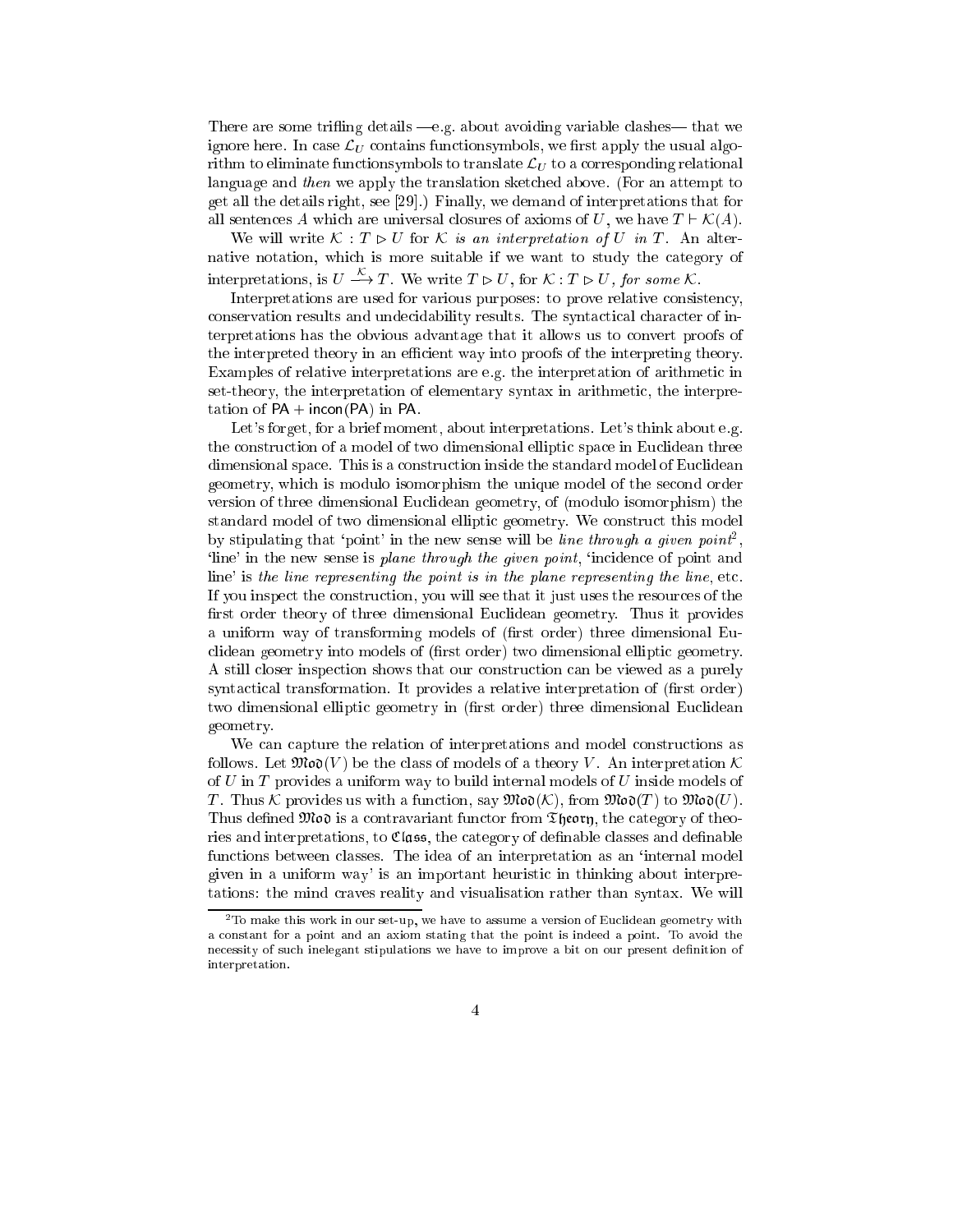There are some trifling details  $-e.g.$  about avoiding variable clashes—that we ignore here. In case  $\mathcal{L}_U$  contains functionsymbols, we first apply the usual algorithm to eliminate functionsymbols to translate  $\mathcal{L}_U$  to a corresponding relational language and then we apply the translation sketched above. (For an attempt to get all the details right, see [29].) Finally, we demand of interpretations that for all sentences A which are universal closures of axioms of U, we have  $T \vdash \mathcal{K}(A)$ .

We will write  $\mathcal{K}: T \triangleright U$  for  $\mathcal K$  is an interpretation of U in T. An alternative notation, which is more suitable if we want to study the category of interpretations, is  $U \stackrel{\sim}{\longrightarrow} T$ . We write  $T \triangleright U$ , for  $K : T \triangleright U$ , for some K.

Interpretations are used for various purposes: to prove relative consistency, conservation results and undecidability results. The syntactical character of interpretations has the obvious advantage that it allows us to convert proofs of the interpreted theory in an efficient way into proofs of the interpreting theory. Examples of relative interpretations are e.g. the interpretation of arithmetic in set-theory, the interpretation of elementary syntax in arithmetic, the interpretation of  $PA + incon(PA)$  in PA.

Let's forget, for a brief moment, about interpretations. Let's think about e.g. the construction of a model of two dimensional elliptic space in Euclidean three dimensional space. This is a construction inside the standard model of Euclidean geometry, which is modulo isomorphism the unique model of the second order version of three dimensional Euclidean geometry, of (modulo isomorphism) the standard model of two dimensional elliptic geometry. We construct this model by stipulating that 'point' in the new sense will be *line through a given point*<sup>2</sup>, `line' in the new sense is plane through the given point, `incidence of point and line' is the line representing the point is in the plane representing the line, etc. If you inspect the construction, you will see that it just uses the resources of the first order theory of three dimensional Euclidean geometry. Thus it provides a uniform way of transforming models of (first order) three dimensional Euclidean geometry into models of (first order) two dimensional elliptic geometry. A still closer inspection shows that our construction can be viewed as a purely syntactical transformation. It provides a relative interpretation of (first order) two dimensional elliptic geometry in (first order) three dimensional Euclidean geometry.

We can capture the relation of interpretations and model constructions as follows. Let  $\mathfrak{Mod}(V)$  be the class of models of a theory V. An interpretation K of  $U$  in  $T$  provides a uniform way to build internal models of  $U$  inside models of T. Thus K provides us with a function, say  $\mathfrak{Mod}(K)$ , from  $\mathfrak{Mod}(T)$  to  $\mathfrak{Mod}(U)$ . Thus defined  $\mathfrak{Mod}$  is a contravariant functor from Theory, the category of theories and interpretations, to  $\mathfrak{Class}$ , the category of definable classes and definable functions between classes. The idea of an interpretation as an 'internal model given in a uniform way' is an important heuristic in thinking about interpretations: the mind craves reality and visualisation rather than syntax. We will

 $2$ To make this work in our set-up, we have to assume a version of Euclidean geometry with a constant for a point and an axiom stating that the point is indeed a point. To avoid the necessity of such inelegant stipulations we have to improve a bit on our present definition of interpretation. interpretation.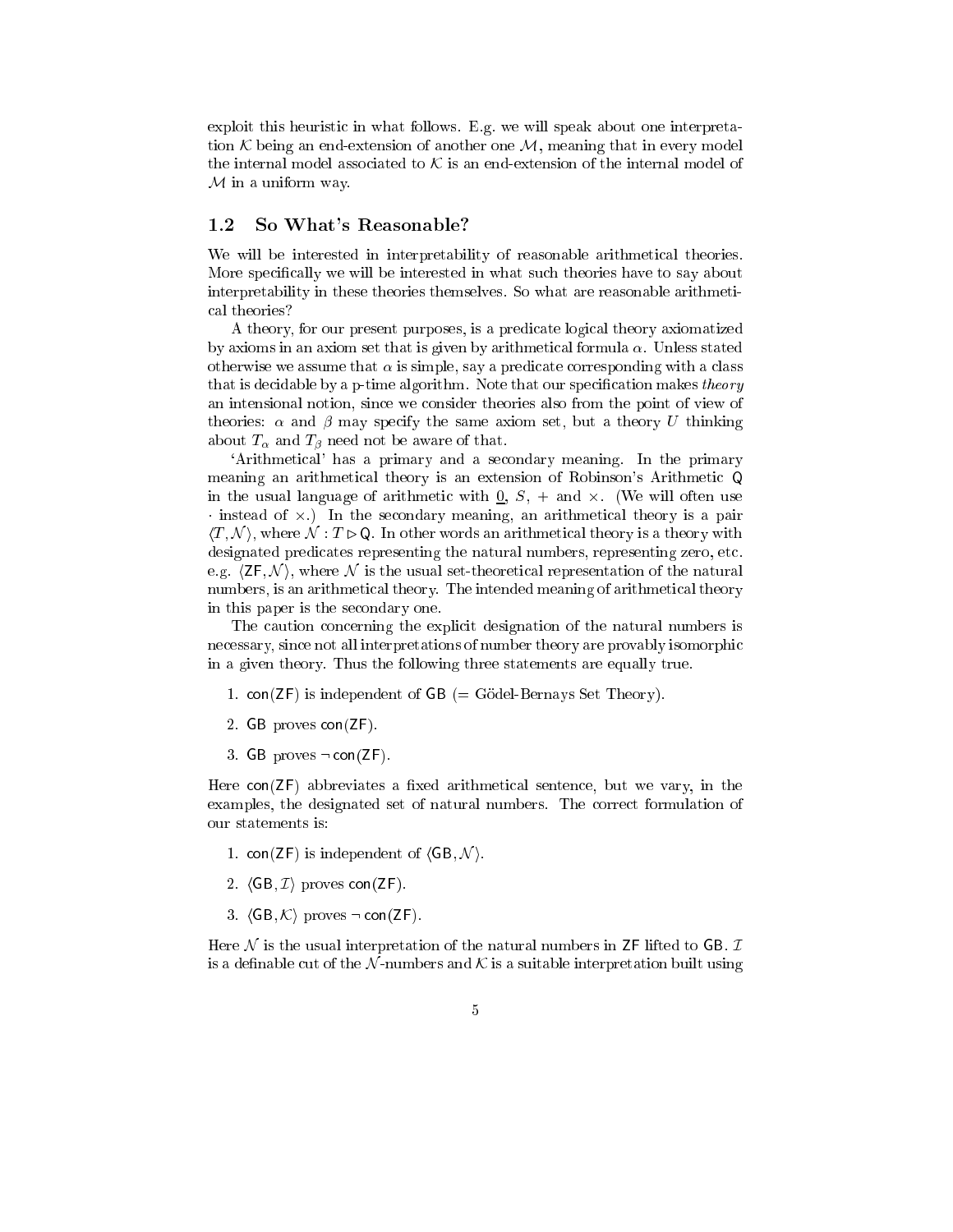exploit this heuristic in what follows. E.g. we will speak about one interpretation  $K$  being an end-extension of another one  $M$ , meaning that in every model the internal model associated to  $K$  is an end-extension of the internal model of  $\ldots$  in a uniform way. We use the set of  $\ldots$ 

#### 1.2 So What's Reasonable?

We will be interested in interpretability of reasonable arithmetical theories. More specifically we will be interested in what such theories have to say about interpretability in these theories themselves. So what are reasonable arithmetical theories?

A theory, for our present purposes, is a predicate logical theory axiomatized by axioms in an axiom set that is given by arithmetical formula  $\alpha$ . Unless stated otherwise we assume that  $\alpha$  is simple, say a predicate corresponding with a class that is decidable by a p-time algorithm. Note that our specification makes theory an intensional notion, since we consider theories also from the point of view of theories:  $\alpha$  and  $\beta$  may specify the same axiom set, but a theory U thinking about  $T_{\alpha}$  and  $T_{\beta}$  need not be aware of that.

`Arithmetical' has a primary and a secondary meaning. In the primary meaning an arithmetical theory is an extension of Robinson's Arithmetic Q in the usual language of arithmetic with  $0, S, + \text{ and } \times$ . (We will often use instead of -.) In the secondary meaning, an arithmetical theory is a pair  $\langle T, \mathcal{N} \rangle$ , where  $\mathcal{N} : T \triangleright \mathsf{Q}$ . In other words an arithmetical theory is a theory with designated predicates representing the natural numbers, representing zero, etc. e.g.  $\langle ZF, \mathcal{N} \rangle$ , where N is the usual set-theoretical representation of the natural numbers, is an arithmetical theory. The intended meaning of arithmetical theory in this paper is the secondary one.

The caution concerning the explicit designation of the natural numbers is necessary, since not all interpretations of number theory are provably isomorphic in a given theory. Thus the following three statements are equally true.

- 1.  $con(ZF)$  is independent of  $GB (= G\ddot{o}del-Bernays Set Theory)$ .
- 2. GB proves con(ZF).
- 3. GB proves  $\neg$  con(ZF).

Here  $con(ZF)$  abbreviates a fixed arithmetical sentence, but we vary, in the examples, the designated set of natural numbers. The correct formulation of our statements is:

- 1. con( $\mathsf{ZF}$ ) is independent of  $\langle \mathsf{GB}, \mathcal{N} \rangle$ .
- 2.  $\langle GB, \mathcal{I} \rangle$  proves con(ZF).
- 3.  $\langle GB, \mathcal{K} \rangle$  proves  $\neg con(ZF)$ .

Here  $\mathcal N$  is the usual interpretation of the natural numbers in ZF lifted to GB.  $\mathcal I$ is a definable cut of the N-numbers and K is a suitable interpretation built using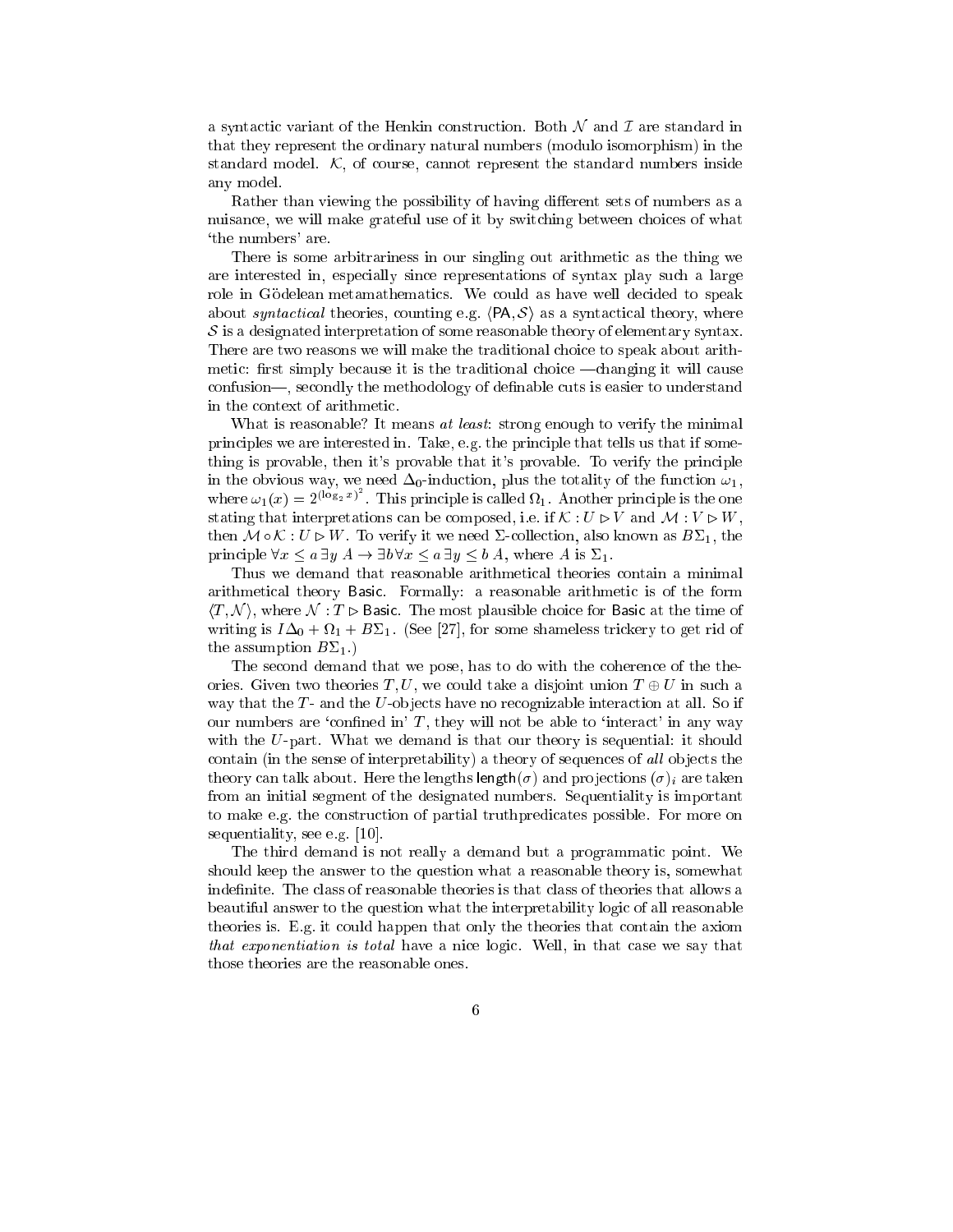a syntactic variant of the Henkin construction. Both  $\mathcal N$  and  $\mathcal I$  are standard in that they represent the ordinary natural numbers (modulo isomorphism) in the standard model.  $K$ , of course, cannot represent the standard numbers inside any model.

Rather than viewing the possibility of having different sets of numbers as a nuisance, we will make grateful use of it by switching between choices of what `the numbers' are.

There is some arbitrariness in our singling out arithmetic as the thing we are interested in, especially since representations of syntax play such a large role in Gödelean metamathematics. We could as have well decided to speak about syntactical theories, counting e.g.  $\langle PA, S \rangle$  as a syntactical theory, where S is a designated interpretation of some reasonable theory of elementary syntax. There are two reasons we will make the traditional choice to speak about arithmetic: first simply because it is the traditional choice —changing it will cause confusion—, secondly the methodology of definable cuts is easier to understand in the context of arithmetic.

What is reasonable? It means at least: strong enough to verify the minimal principles we are interested in. Take, e.g. the principle that tells us that if something is provable, then it's provable that it's provable. To verify the principle in the obvious way, we need  $\Delta_0$ -induction, plus the totality of the function  $\omega_1$ , where  $\omega_1(x) = 2^{(\log_2 x)^2}$ . This principle is called  $\Omega_1$ . Another principle is the one stating that interpretations can be composed, i.e. if  $\mathcal{K}: U \triangleright V$  and  $\mathcal{M}: V \triangleright W$ , then  $M \circ \mathcal{K} : U \triangleright W$ . To verify it we need  $\Sigma$ -collection, also known as  $B\Sigma_1$ , the principle  $\forall x \le a \exists y \land \neg \exists b \forall x \le a \exists y \le b \land$ , where A is  $\Sigma_1$ .

Thus we demand that reasonable arithmetical theories contain a minimal arithmetical theory Basic. Formally: a reasonable arithmetic is of the form  $\langle T, \mathcal{N} \rangle$ , where  $\mathcal{N} : T \triangleright$  Basic. The most plausible choice for Basic at the time of writing is  $I\Delta_0 + \Omega_1 + B\Sigma_1$ . (See [27], for some shameless trickery to get rid of the assumption  $B\Sigma_1$ .)

The second demand that we pose, has to do with the coherence of the theories. Given two theories T, U, we could take a disjoint union  $T \oplus U$  in such a way that the  $T$ - and the U-objects have no recognizable interaction at all. So if our numbers are 'confined in'  $T$ , they will not be able to 'interact' in any way with the U-part. What we demand is that our theory is sequential: it should contain (in the sense of interpretability) a theory of sequences of all objects the theory can talk about. Here the lengths length( $\sigma$ ) and projections ( $\sigma$ )<sub>i</sub> are taken from an initial segment of the designated numbers. Sequentiality is important to make e.g. the construction of partial truthpredicates possible. For more on sequentiality, see e.g. [10].

The third demand is not really a demand but a programmatic point. We should keep the answer to the question what a reasonable theory is, somewhat indefinite. The class of reasonable theories is that class of theories that allows a beautiful answer to the question what the interpretability logic of all reasonable theories is. E.g. it could happen that only the theories that contain the axiom that exponentiation is total have a nice logic. Well, in that case we say that those theories are the reasonable ones.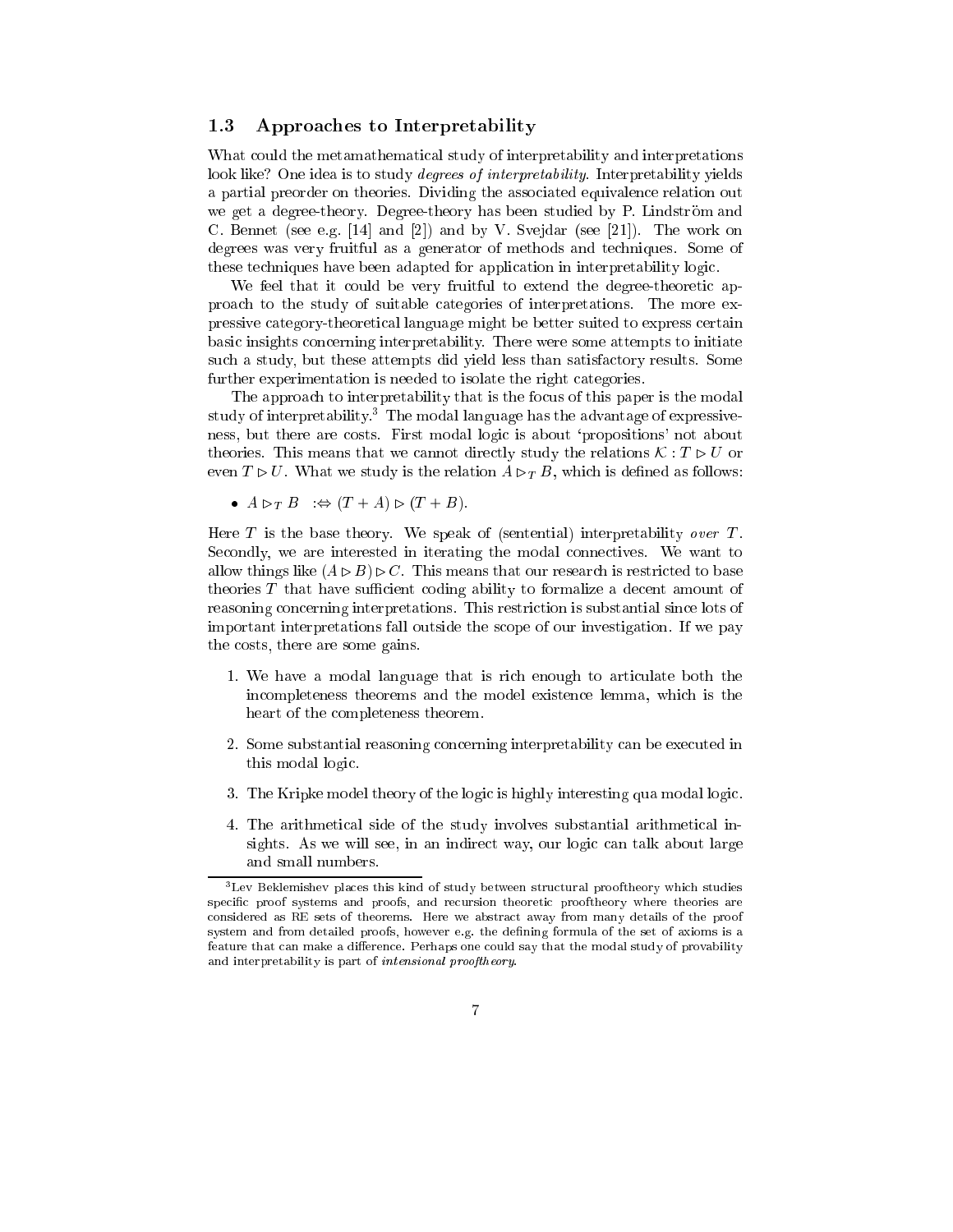#### 1.3 Approaches to Interpretability

What could the metamathematical study of interpretability and interpretations look like? One idea is to study *degrees of interpretability*. Interpretability yields a partial preorder on theories. Dividing the associated equivalence relation out we get a degree-theory. Degree-theory has been studied by P. Lindström and C. Bennet (see e.g. [14] and [2]) and by V. Svejdar (see [21]). The work on degrees was very fruitful as a generator of methods and techniques. Some of these techniques have been adapted for application in interpretability logic.

We feel that it could be very fruitful to extend the degree-theoretic approach to the study of suitable categories of interpretations. The more expressive category-theoretical language might be better suited to express certain basic insights concerning interpretability. There were some attempts to initiate such a study, but these attempts did yield less than satisfactory results. Some further experimentation is needed to isolate the right categories.

The approach to interpretability that is the focus of this paper is the modal study of interpretability. In e modal language has the advantage of expressiveness, but there are costs. First modal logic is about `propositions' not about theories. This means that we cannot directly study the relations  $\mathcal{K}: T \triangleright U$  or even  $T \triangleright U$ . What we study is the relation  $A \triangleright T B$ , which is defined as follows:

 $\bullet$   $A \rhd_T B$   $\Rightarrow$   $(T + A) \rhd (T + B)$ .

Here  $T$  is the base theory. We speak of (sentential) interpretability over  $T$ . Secondly, we are interested in iterating the modal connectives. We want to allow things like  $(A \triangleright B) \triangleright C$ . This means that our research is restricted to base theories  $T$  that have sufficient coding ability to formalize a decent amount of reasoning concerning interpretations. This restriction is substantial since lots of important interpretations fall outside the scope of our investigation. If we pay the costs, there are some gains.

- 1. We have a modal language that is rich enough to articulate both the incompleteness theorems and the model existence lemma, which is the heart of the completeness theorem.
- 2. Some substantial reasoning concerning interpretability can be executed in this modal logic.
- 3. The Kripke model theory of the logic is highly interesting qua modal logic.
- 4. The arithmetical side of the study involves substantial arithmetical insights. As we will see, in an indirect way, our logic can talk about large and small numbers.

<sup>3</sup> Lev Beklemishev places this kind of study between structural prooftheory which studies specific proof systems and proofs, and recursion theoretic prooftheory where theories are considered as RE sets of theorems. Here we abstract away from many details of the proof system and from detailed proofs, however e.g. the defining formula of the set of axioms is a feature that can make a difference. Perhaps one could say that the modal study of provability and interpretability is part of intensional prooftheory.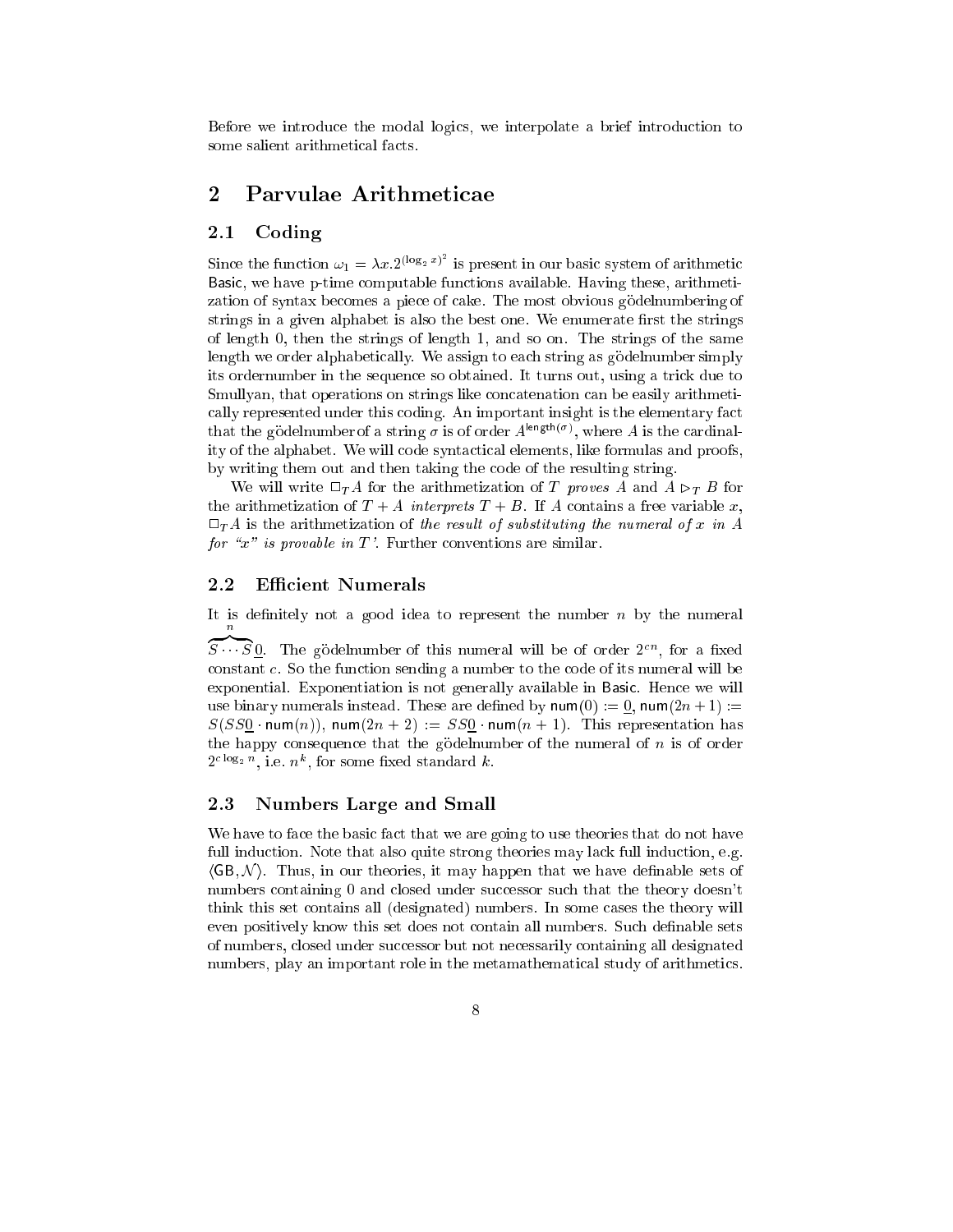Before we introduce the modal logics, we interpolate a brief introduction to some salient arithmetical facts.

# 2 Parvulae Arithmeticae

#### 2.1 Coding

Since the function  $\omega_1 = \lambda x \cdot 2^{(\log_2 x)^2}$  is present in our basic system of arithmetic Basic, we have p-time computable functions available. Having these, arithmetization of syntax becomes a piece of cake. The most obvious gödelnumbering of strings in a given alphabet is also the best one. We enumerate first the strings of length 0, then the strings of length 1, and so on. The strings of the same length we order alphabetically. We assign to each string as godelnumber simply its ordernumber in the sequence so obtained. It turns out, using a trick due to Smullyan, that operations on strings like concatenation can be easily arithmetically represented under this coding. An important insight is the elementary fact that the godelnumber of a string  $\sigma$  is of order  $A^{length(\sigma)}$ , where A is the cardinality of the alphabet. We will code syntactical elements, like formulas and proofs, by writing them out and then taking the code of the resulting string.

We will write  $\Box_T A$  for the arithmetization of T proves A and  $A \triangleright_T B$  for the arithmetization of  $T + A$  interprets  $T + B$ . If A contains a free variable x,  $\Box_{T}A$  is the arithmetization of the result of substituting the numeral of x in A for " $x$ " is provable in T'. Further conventions are similar.

## 2.2 Efficient Numerals

It is definitely not a good idea to represent the number  $n$  by the numeral  $\, n \,$ 

 $\widetilde{S\cdots S}$ 0. The gödelnumber of this numeral will be of order  $2^{cn}$ , for a fixed constant c. So the function sending a number to the code of its numeral will be exponential. Exponentiation is not generally available in Basic. Hence we will use binary numerals instead. These are defined by  $\text{num}(0) := 0$ ,  $\text{num}(2n+1) :=$  $S(SS_0 \text{ num}(n))$ , num $(2n + 2) := SS_0 \text{ num}(n + 1)$ . This representation has the happy consequence that the godelnumber of the numeral of  $n$  is of order  $2^{c \log_2 n}$ , i.e.  $n^k$ , for some fixed standard k.

#### 2.3 Numbers Large and Small

We have to face the basic fact that we are going to use theories that do not have full induction. Note that also quite strong theories may lack full induction, e.g.  $\langle GB, \mathcal{N} \rangle$ . Thus, in our theories, it may happen that we have definable sets of numbers containing 0 and closed under successor such that the theory doesn't think this set contains all (designated) numbers. In some cases the theory will even positively know this set does not contain all numbers. Such definable sets of numbers, closed under successor but not necessarily containing all designated numbers, play an important role in the metamathematical study of arithmetics.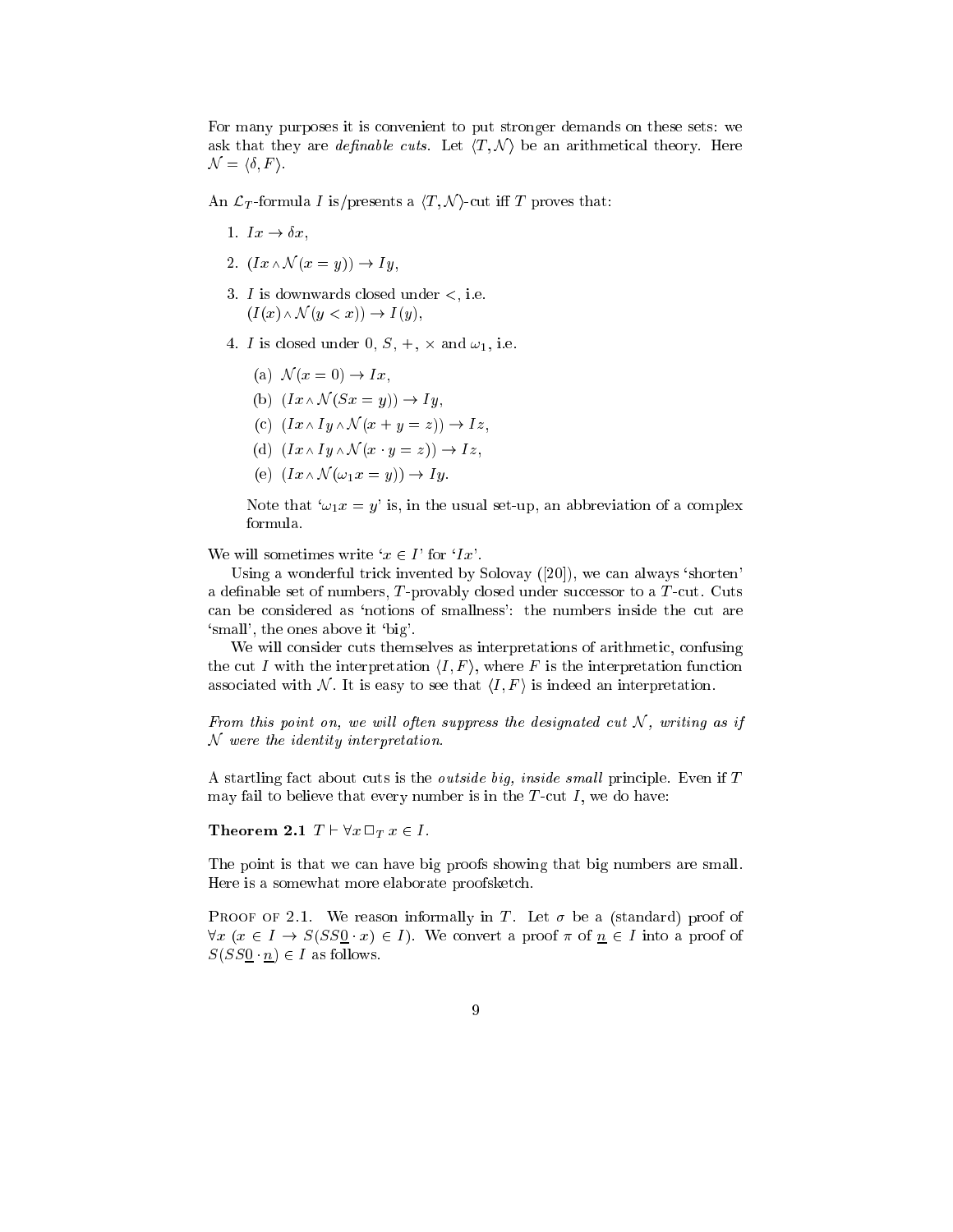For many purposes it is convenient to put stronger demands on these sets: we ask that they are *definable cuts*. Let  $\langle T, \mathcal{N} \rangle$  be an arithmetical theory. Here  $\mathcal{N} = \langle \delta, F \rangle.$ 

An  $\mathcal{L}_T$ -formula *I* is/presents a  $\langle T, \mathcal{N} \rangle$ -cut iff *T* proves that:

- 1.  $Ix \rightarrow \delta x,$
- 2.  $(Ix \wedge \mathcal{N}(x = y)) \rightarrow Iy$ ,
- 3.  $I$  is downwards closed under  $\lt$ , i.e.  $(I(x) \wedge \mathcal{N}(y < x)) \rightarrow I(y),$
- 4. I is closed under  $0, S, +$ ,  $\times$  and  $\omega_1$ , i.e.
	- (a)  $\mathcal{N}(x = 0) \rightarrow Ix$ ,
	- (b)  $(Ix \wedge \mathcal{N}(Sx = y)) \rightarrow Iy$ ,
	- (c)  $(Ix \wedge Iy \wedge \mathcal{N}(x + y = z)) \rightarrow Iz$ ,
	- (d)  $(Ix \wedge Iy \wedge \mathcal{N} (x \cdot y = z)) \rightarrow Iz$ ,
	- (e)  $(Ix \wedge \mathcal{N}(\omega_1 x = y)) \rightarrow I y$ .

Note that ' $\omega_1 x = y'$  is, in the usual set-up, an abbreviation of a complex formula.

We will sometimes write ' $x \in I$ ' for ' $Ix$ '.

Using a wonderful trick invented by Solovay ([20]), we can always `shorten' a definable set of numbers,  $T$ -provably closed under successor to a  $T$ -cut. Cuts can be considered as `notions of smallness': the numbers inside the cut are `small', the ones above it `big'.

We will consider cuts themselves as interpretations of arithmetic, confusing the cut I with the interpretation  $\langle I, F \rangle$ , where F is the interpretation function associated with N. It is easy to see that  $\langle I, F \rangle$  is indeed an interpretation.

From this point on, we will often suppress the designated cut  $N$ , writing as if N were the identity interpretation.

A startling fact about cuts is the *outside big, inside small* principle. Even if  $T$ may fail to believe that every number is in the  $T$ -cut  $I$ , we do have:

Theorem 2.1  $T \vdash \forall x \sqcap_T x \in I$ .

The point is that we can have big proofs showing that big numbers are small. Here is a somewhat more elaborate proofsketch.

PROOF OF 2.1. We reason informally in T. Let  $\sigma$  be a (standard) proof of  $\forall x \ (x \in I \rightarrow S(SS0 \mid x) \in I)$ . We convert a proof  $\pi$  of  $n \in I$  into a proof of  $S(SS_0 \tcdot n) \in I$  as follows.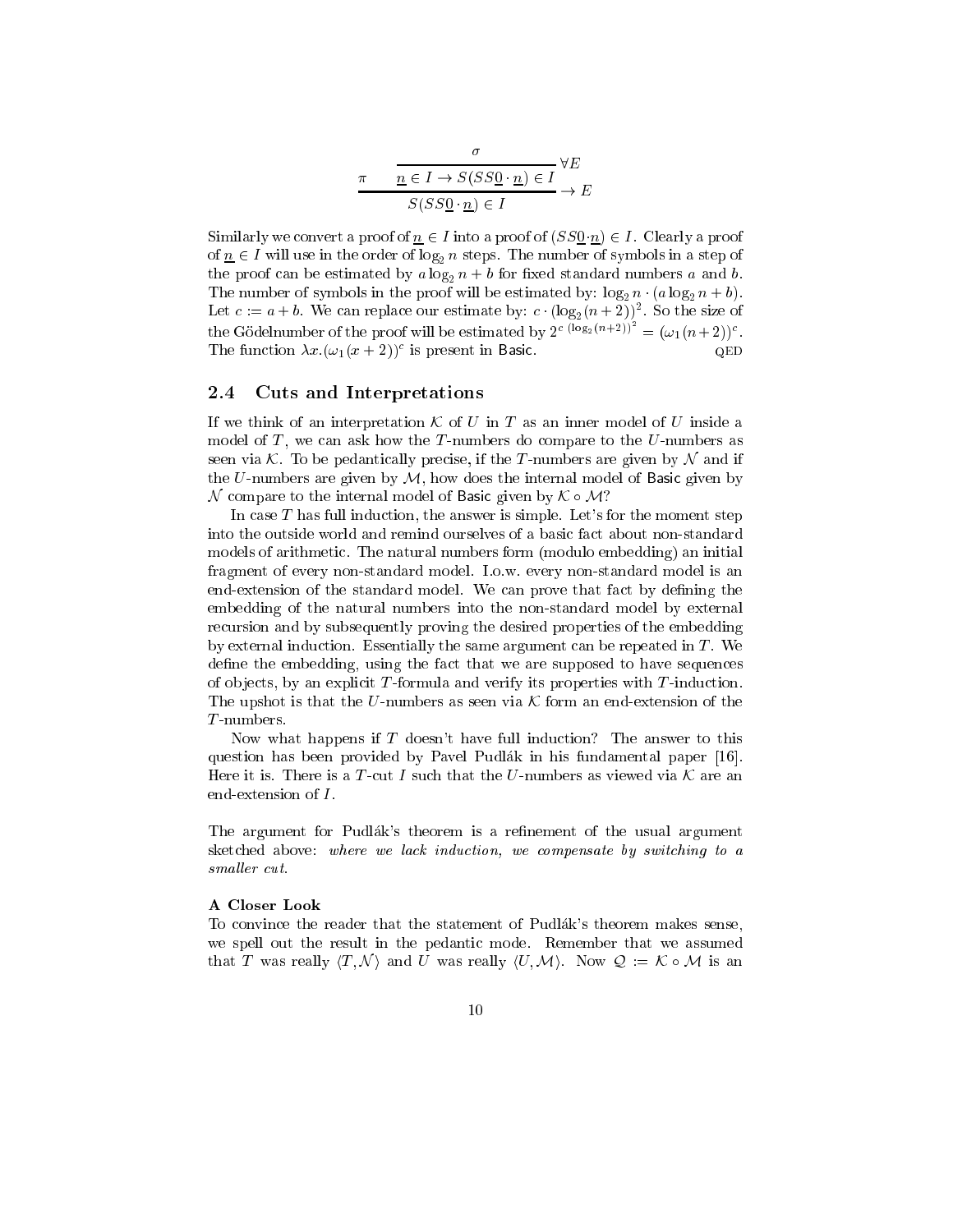$$
\pi \qquad \frac{\sigma}{\underline{n} \in I \to S(SS\underline{0} \cdot \underline{n}) \in I} \forall E
$$

$$
S(SS\underline{0} \cdot \underline{n}) \in I \longrightarrow E
$$

Similarly we convert a proof of  $n \in I$  into a proof of  $(SS0 n) \in I$ . Clearly a proof of  $n \in I$  will use in the order of log<sub>2</sub> n steps. The number of symbols in a step of the proof can be estimated by  $a \log_2 n + b$  for fixed standard numbers a and b. The number of symbols in the proof will be estimated by:  $\log_2 n \cdot (a \log_2 n + b)$ . Let  $c := a + b$ . We can replace our estimate by:  $c \cdot (\log_2(n+2))^2$ . So the size of the Gödelnumber of the proof will be estimated by  $2^{c}$  (log<sub>2</sub>(n+2))<sup>-</sup> =  $(\omega_1(n+2))^c$ . The function  $\lambda x.(\omega_1(x+2))^c$  is present in Basic. QED

#### 2.4 Cuts and Interpretations

If we think of an interpretation K of U in T as an inner model of U inside a model of  $T$ , we can ask how the  $T$ -numbers do compare to the  $U$ -numbers as seen via K. To be pedantically precise, if the T-numbers are given by  $\mathcal N$  and if the  $U$ -numbers are given by  $M$ , how does the internal model of Basic given by N compare to the internal model of Basic given by <sup>K</sup> M?

In case  $T$  has full induction, the answer is simple. Let's for the moment step into the outside world and remind ourselves of a basic fact about non-standard models of arithmetic. The natural numbers form (modulo embedding) an initial fragment of every non-standard model. I.o.w. every non-standard model is an end-extension of the standard model. We can prove that fact by defining the embedding of the natural numbers into the non-standard model by external recursion and by subsequently proving the desired properties of the embedding by external induction. Essentially the same argument can be repeated in  $T$ . We define the embedding, using the fact that we are supposed to have sequences of objects, by an explicit  $T$ -formula and verify its properties with  $T$ -induction. The upshot is that the U-numbers as seen via  $\mathcal K$  form an end-extension of the T -numbers.

Now what happens if T doesn't have full induction? The answer to this question has been provided by Pavel Pudlak in his fundamental paper [16]. Here it is. There is a T-cut I such that the U-numbers as viewed via  $\mathcal K$  are an end-extension of  $I$ .

The argument for Pudlák's theorem is a refinement of the usual argument sketched above: where we lack induction, we compensate by switching to a smaller cut.

#### A Closer Look

To convince the reader that the statement of Pudlak's theorem makes sense, we spell out the result in the pedantic mode. Remember that we assumed that T was really  $\langle T, \mathcal{N} \rangle$  and U was really  $\langle U, \mathcal{M} \rangle$ . Now  $\mathcal{Q} := \mathcal{K} \circ \mathcal{M}$  is an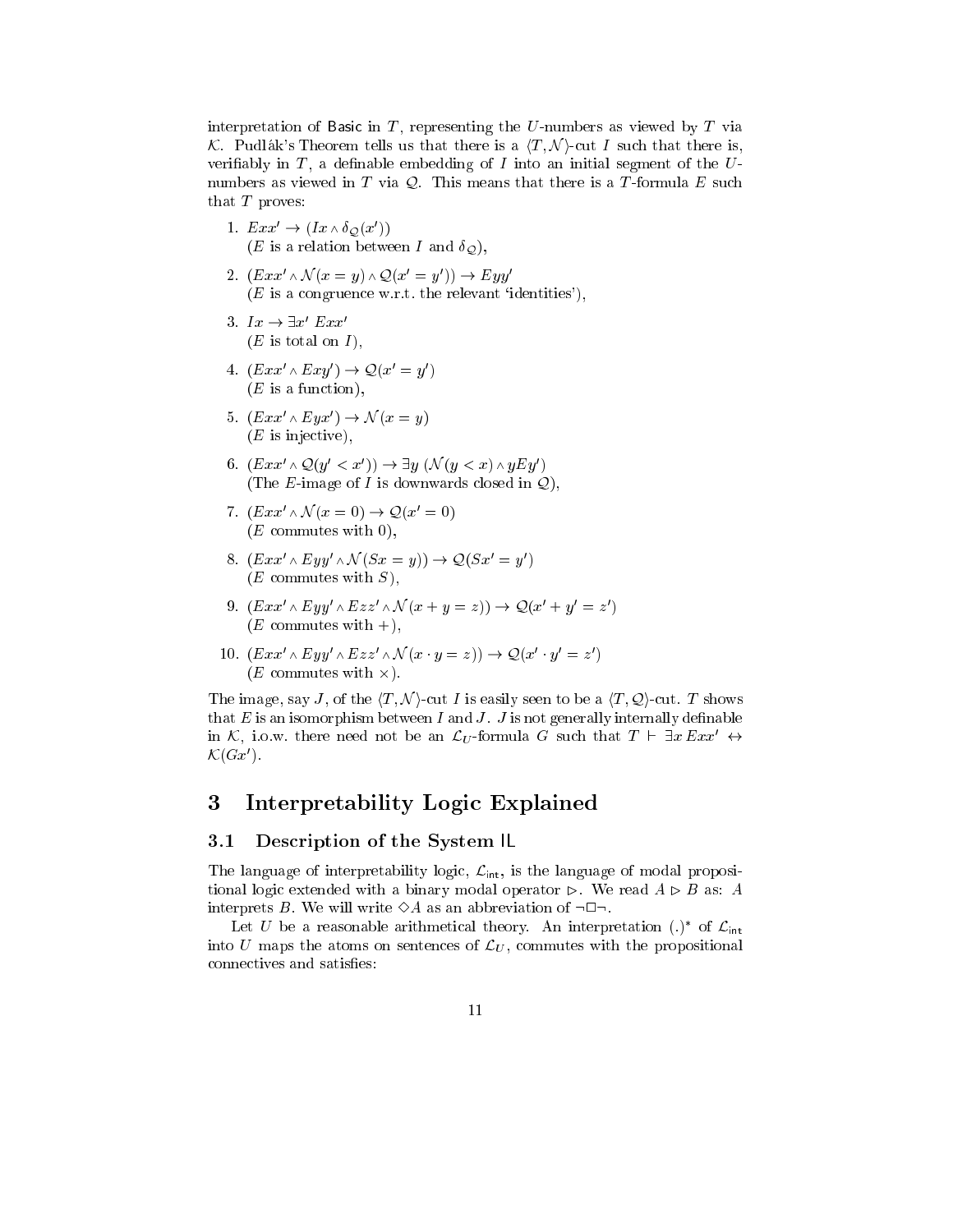interpretation of Basic in  $T$ , representing the U-numbers as viewed by  $T$  via K. Pudlak's Theorem tells us that there is a  $\langle T, \mathcal{N} \rangle$ -cut I such that there is, verifiably in  $T$ , a definable embedding of  $I$  into an initial segment of the  $U$ numbers as viewed in  $T$  via  $Q$ . This means that there is a  $T$ -formula  $E$  such that  $T$  proves:

- 1.  $Exx' \rightarrow (Ix \wedge \delta_{\mathcal{Q}}(x'))$ (*E* is a relation between *I* and  $\delta_{\mathcal{Q}}$ ),
- 2.  $(Exx' \wedge \mathcal{N}(x = y) \wedge \mathcal{Q}(x' = y')) \rightarrow Eyy'$  $(E \text{ is a congruence w.r.t. the relevant 'identities'),$
- 3.  $Ix \rightarrow \exists x' Exx'$  $(E \text{ is total on } I),$
- 4.  $(Exx' \wedge Exy') \rightarrow \mathcal{Q}(x'=y')$  $(E$  is a function),
- 5.  $(Exx' \wedge Eyx') \rightarrow \mathcal{N}(x = y)$  $(E$  is injective),
- 6.  $(Exx' \wedge \mathcal{Q}(y' < x')) \rightarrow \exists y \ (\mathcal{N}(y < x) \wedge yEy')$ (The E-image of I is downwards closed in  $Q$ ),
- 7.  $(Exx' \wedge \mathcal{N}(x=0) \rightarrow \mathcal{Q}(x'=0))$  $(E$  commutes with 0),
- 8.  $(Exx' \wedge Eyy' \wedge \mathcal{N}(Sx = y)) \rightarrow \mathcal{Q}(Sx' = y')$  $(E$  commutes with  $S$ ),
- 9.  $(Exx' \wedge Eyy' \wedge Ezz' \wedge \mathcal{N}(x + y = z)) \rightarrow \mathcal{Q}(x' + y' = z')$  $(E$  commutes with  $+)$ ,
- 10.  $(Exx' \wedge Eyy' \wedge Ezz' \wedge \mathcal{N}(x \cdot y = z)) \rightarrow \mathcal{Q}(x' \cdot y' = z')$  $(E$  commutes with  $\times$ ).

The image, say J, of the  $\langle T, \mathcal{N} \rangle$ -cut I is easily seen to be a  $\langle T, \mathcal{Q} \rangle$ -cut. T shows that  $E$  is an isomorphism between I and J. J is not generally internally definable in K, i.o.w. there need not be an  $\mathcal{L}_U$ -formula G such that  $T \vdash \exists x Exx' \leftrightarrow$  $\mathcal{K}(Gx')$ .

# 3 Interpretability Logic Explained

#### 3.1 Description of the System IL

The language of interpretability logic logic logic logic logic logic logic logic logic logic logic logic logic tional logic extended with a binary modal operator  $\triangleright$ . We read  $A \triangleright B$  as: A interprets B. We will write  $\Diamond A$  as an abbreviation of  $\neg \Box \neg$ .

Let U be a reasonable arithmetical theory. An interpretation (.)\* of  $\mathcal{L}_{\text{int}}$ into U maps the atoms on sentences of  $\mathcal{L}_U$ , commutes with the propositional connectives and satisfies: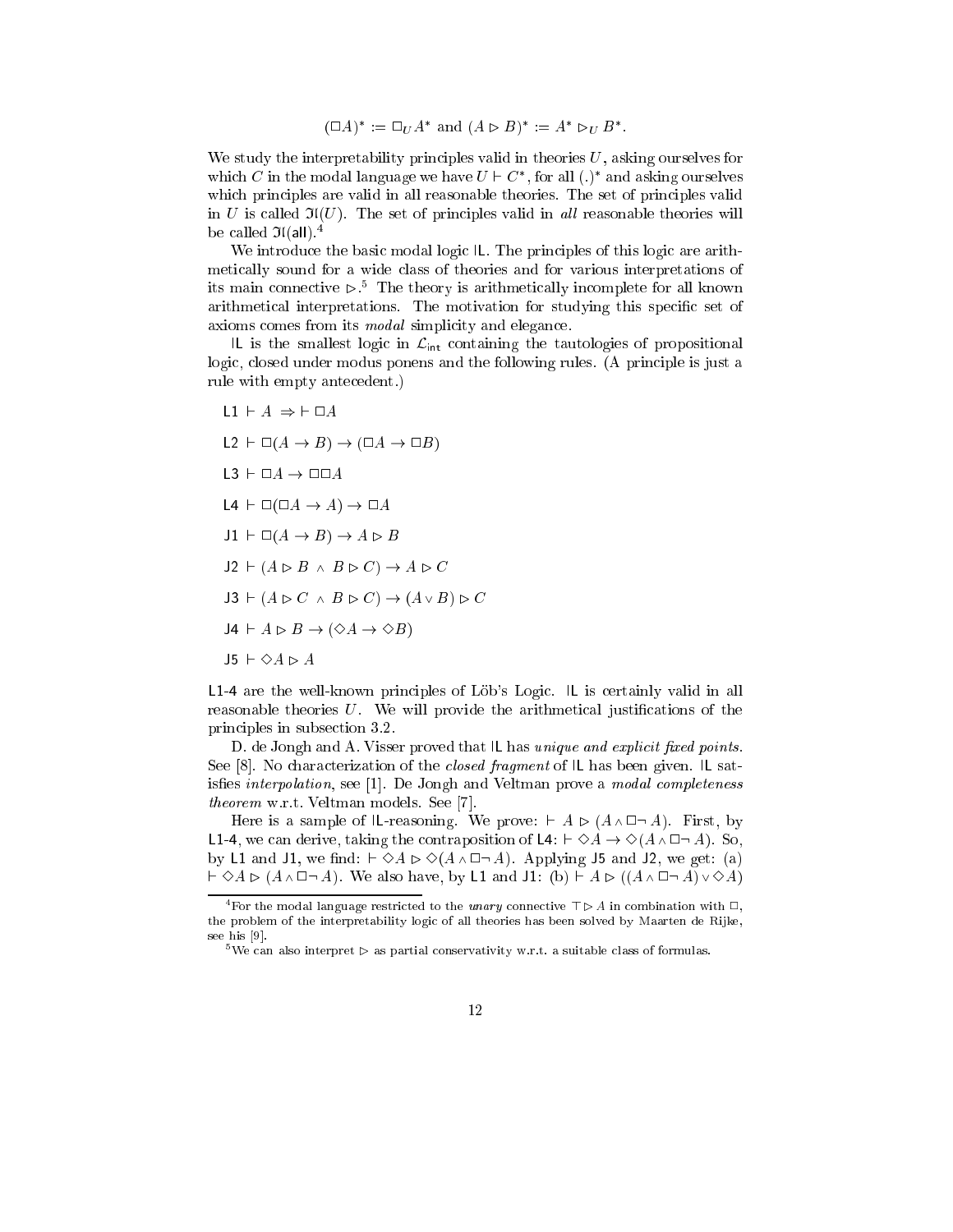$$
(\Box A)^* := \Box_U A^* \text{ and } (A \triangleright B)^* := A^* \triangleright_U B^*.
$$

We study the interpretability principles valid in theories  $U$ , asking ourselves for which C in the modal language we have  $U \vdash C^*$ , for all  $(.)^*$  and asking ourselves which principles are valid in all reasonable theories. The set of principles valid in U is called  $\mathfrak{I}(U)$ . The set of principles valid in all reasonable theories will be called  $\mathfrak{I}(\text{all})$ .<sup>4</sup>

We introduce the basic modal logic IL. The principles of this logic are arithmetically sound for a wide class of theories and for various interpretations of its main connective  $\triangleright$  : The theory is arithmetically incomplete for all known arithmetical interpretations. The motivation for studying this specific set of axioms comes from its modal simplicity and elegance.

IL is the smallest logic in Lint containing the tautological structure  $\alpha$ logic, closed under modus ponens and the following rules. (A principle is just a rule with empty antecedent.)

L1  $\vdash A \Rightarrow \vdash \Box A$  $L2 \vdash \Box(A \to B) \to (\Box A \to \Box B)$  $L3 + \Box A \rightarrow \Box \Box A$  $\Box 4 \vdash \Box (\Box A \rightarrow A) \rightarrow \Box A$  $J1 \vdash \Box(A \rightarrow B) \rightarrow A \rhd B$  $J2 \vdash (A \rhd B \wedge B \rhd C) \rightarrow A \rhd C$  $J3 \vdash (A \triangleright C \land B \triangleright C) \rightarrow (A \vee B) \triangleright C$  $JA \vdash A \rhd B \rightarrow (\Diamond A \rightarrow \Diamond B)$  $J5 \vdash \Diamond A \rhd A$ 

L1-4 are the well-known principles of Löb's Logic. IL is certainly valid in all reasonable theories  $U$ . We will provide the arithmetical justifications of the principles in subsection 3.2.

D. de Jongh and A. Visser proved that IL has *unique and explicit fixed points*. See [8]. No characterization of the closed fragment of IL has been given. IL satisfies interpolation, see [1]. De Jongh and Veltman prove a modal completeness theorem w.r.t. Veltman models. See [7].

Here is a sample of IL-reasoning. We prove:  $\vdash A \triangleright (A \wedge \Box \neg A)$ . First, by **L1-4**, we can derive, taking the contraposition of L4:  $\vdash \Diamond A \rightarrow \Diamond (A \land \Box \neg A)$ . So, by L1 and J1, we find:  $\vdash \Diamond A \triangleright \Diamond (A \wedge \Box \neg A)$ . Applying J5 and J2, we get: (a)  $\vdash \Diamond A \rhd (A \wedge \Box \neg A)$ . We also have, by L1 and J1: (b)  $\vdash A \rhd ((A \wedge \Box \neg A) \vee \Diamond A)$ 

<sup>&</sup>lt;sup>4</sup>For the modal language restricted to the *unary* connective  $\top \triangleright A$  in combination with  $\Box$ , the problem of the interpretability logic of all theories has been solved by Maarten de Rijke, see his [9].

 $5$ We can also interpret  $\triangleright$  as partial conservativity w.r.t. a suitable class of formulas.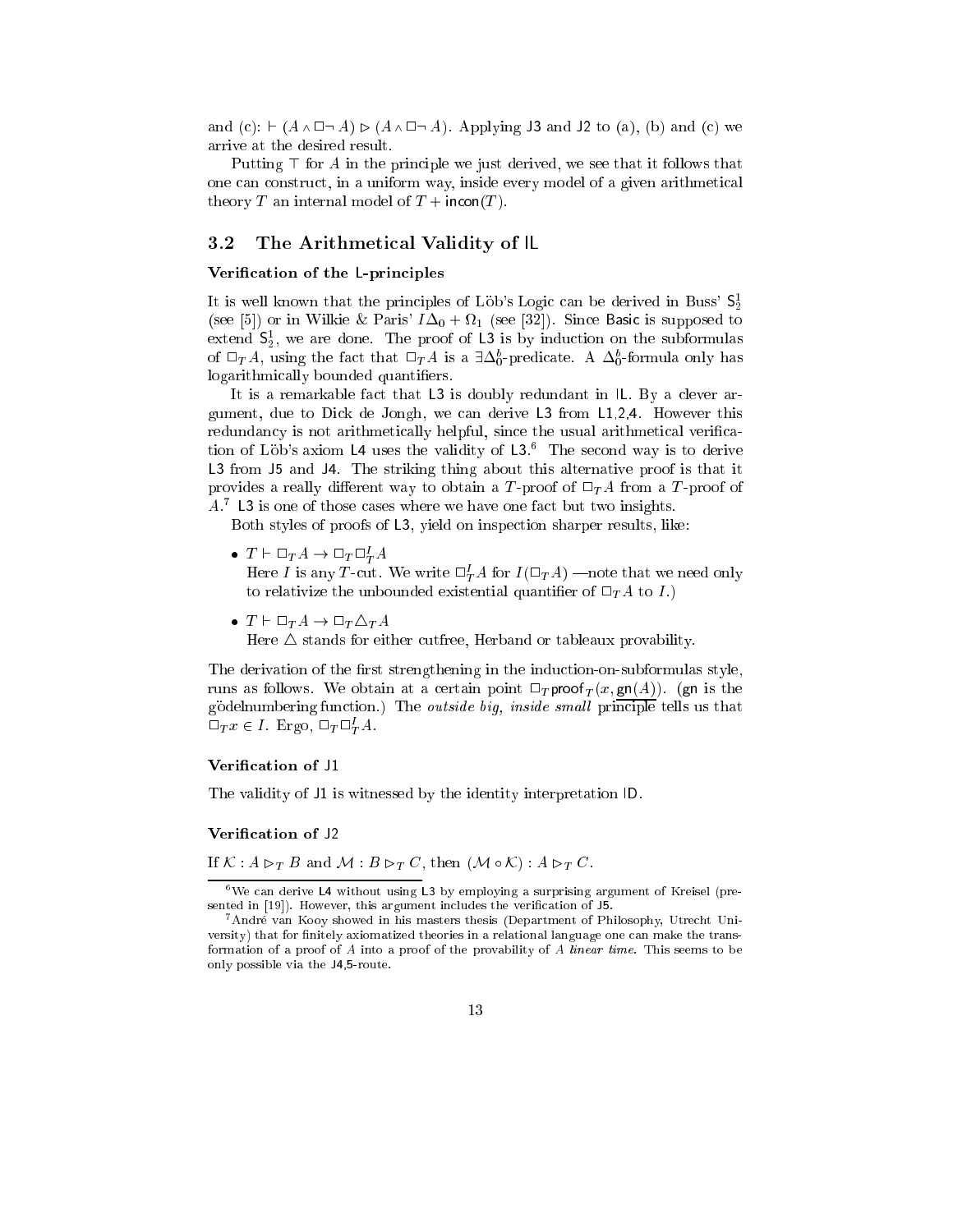and (c):  $\vdash (A \land \Box \neg A) \triangleright (A \land \Box \neg A)$ . Applying J3 and J2 to (a), (b) and (c) we arrive at the desired result.

Putting  $\top$  for A in the principle we just derived, we see that it follows that one can construct, in a uniform way, inside every model of a given arithmetical theory T an internal model of  $T + incon(T)$ .

#### 3.2 The Arithmetical Validity of IL

#### Verification of the L-principles

It is well known that the principles of Löb's Logic can be derived in Buss'  $S_2^1$ (see [5]) or in Wilkie & Paris'  $I\Delta_0 + \Omega_1$  (see [32]). Since Basic is supposed to extend  $S_2$ , we are done. The proof of L3 is by induction on the subformulas of  $\Box_{T}A$ , using the fact that  $\Box_{T}A$  is a  $\exists \Delta_{0}^{b}$ -predicate. A  $\Delta_{0}^{b}$ -formula only has logarithmically bounded quantifiers.

It is a remarkable fact that L3 is doubly redundant in IL. By a clever argument, due to Dick de Jongh, we can derive L3 from L1,2,4. However this redundancy is not arithmetically helpful, since the usual arithmetical verication of Löb's axiom L4 uses the validity of  $L3$ . The second way is to derive L3 from J5 and J4. The striking thing about this alternative proof is that it provides a really different way to obtain a T-proof of  $\Box_{T}A$  from a T-proof of A.<sup>7</sup> L3 is one of those cases where we have one fact but two insights.

Both styles of proofs of L3, yield on inspection sharper results, like:

 $\bullet\;\: T \vdash \Box_T A \to \Box_T \Box^I_T A$ 

Here I is any T-cut. We write  $\Box^I_{T}A$  for  $I(\Box_{T}A)$  —note that we need only to relativize the unbounded existential quantifier of  $\Box_{T} A$  to I.)

Here  $\triangle$  stands for either cutfree, Herband or tableaux provability.

The derivation of the first strengthening in the induction-on-subformulas style, runs as follows. We obtain at a certain point  $\Box_T$  proof  $_T(x, \text{gn}(A))$ . (gn is the godelnumbering function.) The *outside big, inside small* principle tells us that  $\Box_T x \in I$ . Ergo,  $\Box_T \Box_T^I A$ .

#### Verification of J1

The validity of J1 is witnessed by the identity interpretation ID.

#### Verification of J2

If  $K : A \rhd_T B$  and  $M : B \rhd_T C$ , then  $(M \circ K) : A \rhd_T C$ .

 $\bullet\,$   $T \vdash \Box_{T} A \to \Box_{T} \triangle_{T} A$ 

 $6$ We can derive L4 without using L3 by employing a surprising argument of Kreisel (presented in [19]). However, this argument includes the verification of J5.

<sup>&</sup>lt;sup>7</sup> André van Kooy showed in his masters thesis (Department of Philosophy, Utrecht University) that for finitely axiomatized theories in a relational language one can make the transformation of a proof of A into a proof of the provability of A linear time. This seems to be only possible via the J4,5-route.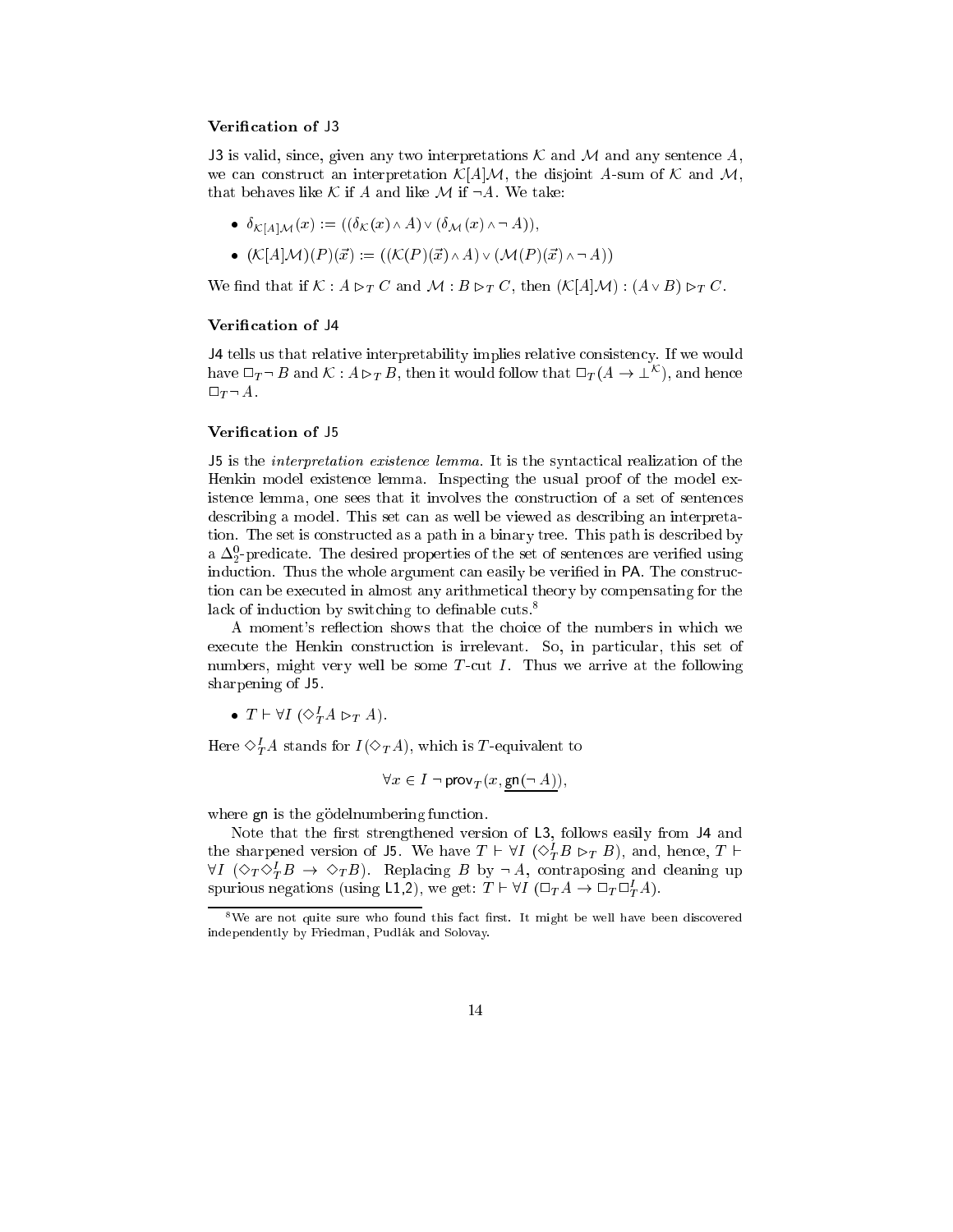#### Verification of J3

J3 is valid, since, given any two interpretations  $\mathcal K$  and  $\mathcal M$  and any sentence A, we can construct an interpretation  $\mathcal{K}[A]\mathcal{M}$ , the disjoint A-sum of  $\mathcal K$  and  $\mathcal M$ , that behaves like K if A and like M if  $\neg A$ . We take:

- $\bullet \ \ \delta_{\mathcal{K}[A]\mathcal{M}}(x) := ((\delta_{\mathcal{K}}(x) \wedge A) \vee (\delta_{\mathcal{M}}(x) \wedge \neg A)),$
- $(\mathcal{K}[A]\mathcal{M})(P)({\vec{x}}) := ((\mathcal{K}(P)({\vec{x}}) \wedge A) \vee (\mathcal{M}(P)({\vec{x}}) \wedge \neg A))$

We find that if  $K : A \rhd_T C$  and  $M : B \rhd_T C$ , then  $(K[A]\mathcal{M}) : (A \vee B) \rhd_T C$ .

#### Verification of J4

J4 tells us that relative interpretability implies relative consistency. If we would have  $\Box_T \neg B$  and  $\mathcal{K}$  :  $A \rhd_T B$ , then it would follow that  $\Box_T (A \to \bot^{\mathcal{K}})$ , and hence  $\Box_T \neg A.$ 

#### Verification of J5

J5 is the interpretation existence lemma. It is the syntactical realization of the Henkin model existence lemma. Inspecting the usual proof of the model existence lemma, one sees that it involves the construction of a set of sentences describing a model. This set can as well be viewed as describing an interpretation. The set is constructed as a path in a binary tree. This path is described by a  $\Delta_2$ -predicate. The desired properties of the set of sentences are verified using induction. Thus the whole argument can easily be verified in PA. The construction can be executed in almost any arithmetical theory by compensating for the lack of induction by switching to definable cuts.<sup>8</sup>

A moment's reflection shows that the choice of the numbers in which we execute the Henkin construction is irrelevant. So, in particular, this set of numbers, might very well be some  $T$ -cut  $I$ . Thus we arrive at the following sharpening of J5.

•  $T \vdash \forall I \ (\Diamond_T^I A \rhd_T A).$ 

Here  $\diamond^I_T A$  stands for  $I(\diamond_T A)$ , which is T-equivalent to

$$
\forall x \in I \neg \mathsf{prov}_T(x, \mathsf{gn}(\neg A)),
$$

where gn is the gödelnumbering function.

Note that the first strengthened version of  $L3$ , follows easily from  $J4$  and the sharpened version of J5. We have  $T \vdash \forall I \ (\Diamond_{T}^{I} B \rhd_{T} B)$ , and, hence,  $T \vdash$  $\forall I \ (\Diamond_T \Diamond_T^I B \ \rightarrow \ \Diamond_T B).$  Replacing B by  $\neg A$ , contraposing and cleaning up spurious negations (using L1,2), we get:  $T \vdash \forall I \; (\Box_T A \to \Box_T \Box^I_T A)$ .

 $8$ We are not quite sure who found this fact first. It might be well have been discovered independently by Friedman, Pudlak and Solovay.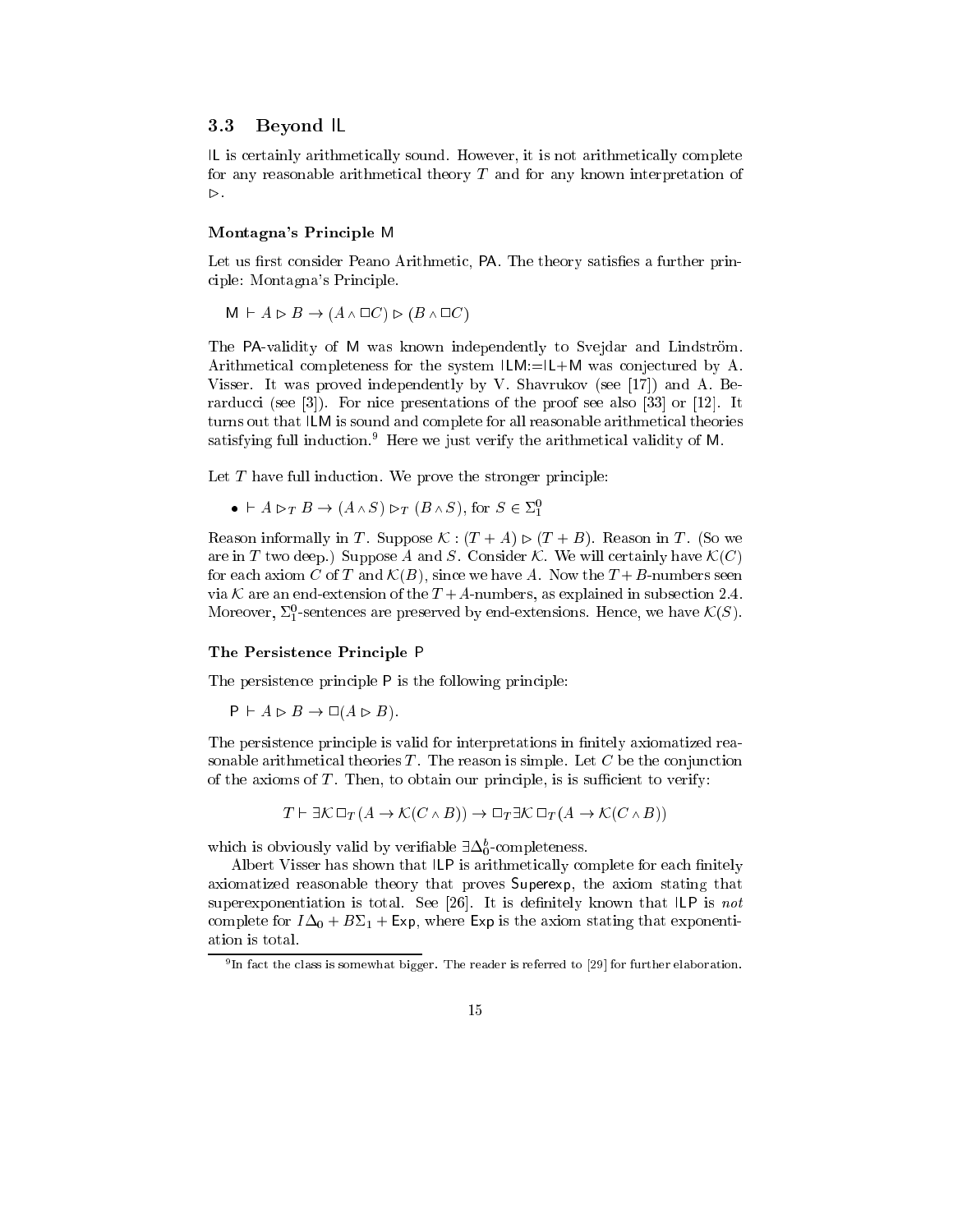#### 3.3 Beyond IL

IL is certainly arithmetically sound. However, it is not arithmetically complete for any reasonable arithmetical theory  $T$  and for any known interpretation of  $\triangleright$  .

#### Montagna's Principle M

Let us first consider Peano Arithmetic, PA. The theory satisfies a further principle: Montagna's Principle.

 $M \vdash A \rhd B \rightarrow (A \wedge \Box C) \rhd (B \wedge \Box C)$ 

The PA-validity of M was known independently to Svejdar and Lindström. Arithmetical completeness for the system ILM:=IL+M was conjectured by A. Visser. It was proved independently by V. Shavrukov (see [17]) and A. Berarducci (see [3]). For nice presentations of the proof see also [33] or [12]. It turns out that ILM is sound and complete for all reasonable arithmetical theories satisfying full induction.9 Here we just verify the arithmetical validity of M.

Let  $T$  have full induction. We prove the stronger principle:

 $\bullet \vdash A \rhd_{T} B \rightarrow (A \wedge S) \rhd_{T} (B \wedge S),$  for  $S \in \Sigma_{1}^{0}$ 

Reason informally in T. Suppose  $\mathcal{K} : (T + A) \triangleright (T + B)$ . Reason in T. (So we are in T two deep.) Suppose A and S. Consider K. We will certainly have  $\mathcal{K}(C)$ for each axiom C of T and  $\mathcal{K}(B)$ , since we have A. Now the  $T+B$ -numbers seen via K are an end-extension of the  $T+A$ -numbers, as explained in subsection 2.4. Moreover,  $\Sigma_1^0$ -sentences are preserved by end-extensions. Hence, we have  $\mathcal{K}(S)$ .

#### The Persistence Principle P

The persistence principle P is the following principle:

 $P \vdash A \rhd B \rightarrow \Box(A \rhd B).$ 

The persistence principle is valid for interpretations in finitely axiomatized reasonable arithmetical theories  $T$ . The reason is simple. Let  $C$  be the conjunction of the axioms of  $T$ . Then, to obtain our principle, is is sufficient to verify:

 $T \vdash \exists \mathcal{K} \, \Box_T (A \to \mathcal{K}(C \wedge B)) \to \Box_T \exists \mathcal{K} \, \Box_T (A \to \mathcal{K}(C \wedge B))$ 

which is obviously valid by verifiable  $\exists \Delta_0^b$ -completeness.

Albert Visser has shown that ILP is arithmetically complete for each finitely axiomatized reasonable theory that proves Superexp, the axiom stating that superexponentiation is total. See [26]. It is definitely known that  $\mathsf{ILP}$  is not complete for  $I\Delta_0 + B\Sigma_1 + E\mathbf{xp}$ , where  $E\mathbf{xp}$  is the axiom stating that exponentiation is total.

<sup>9</sup> In fact the class is somewhat bigger. The reader is referred to [29] for further elaboration.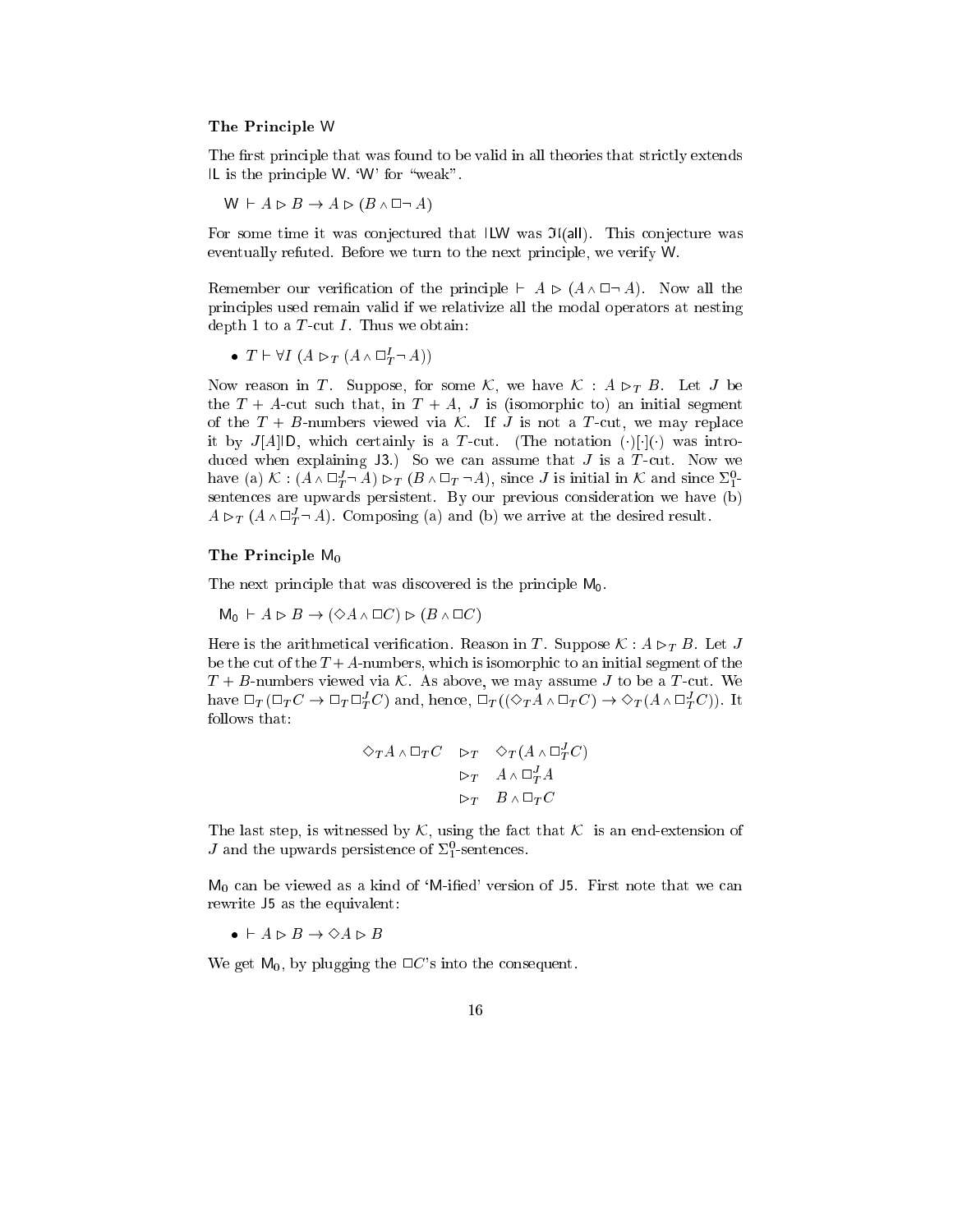#### The Principle W

The first principle that was found to be valid in all theories that strictly extends IL is the principle W. 'W' for "weak".

$$
W \vdash A \rhd B \rightarrow A \rhd (B \wedge \Box \neg A)
$$

For some time it was conjectured that ILW was  $\mathfrak{I}(\text{all})$ . This conjecture was eventually refuted. Before we turn to the next principle, we verify W.

Remember our verification of the principle  $\vdash A \triangleright (A \wedge \Box \neg A)$ . Now all the principles used remain valid if we relativize all the modal operators at nesting depth 1 to a  $T$ -cut  $I$ . Thus we obtain:

• 
$$
T \vdash \forall I \ (A \rhd_T (A \wedge \Box^I_T \neg A))
$$

Now reason in T. Suppose, for some K, we have  $K : A \rhd_T B$ . Let J be the  $T + A$ -cut such that, in  $T + A$ , J is (isomorphic to) an initial segment of the  $T + B$ -numbers viewed via K. If J is not a T-cut, we may replace it by  $J[A||D]$ , which certainly is a T-cut. (The notation ()[[() was introduced when explaining  $J3$ .) So we can assume that  $J$  is a  $T$ -cut. Now we have (a)  $\mathcal{K} : (A \wedge \Box^J_T \neg A) \triangleright_T (B \wedge \Box_T \neg A)$ , since *J* is initial in  $\mathcal{K}$  and since  $\Sigma^0_1$ . sentences are upwards persistent. By our previous consideration we have (b)  $A \triangleright_T (A \wedge \square^J_T \neg A)$ . Composing (a) and (b) we arrive at the desired result.

#### The Principle M0

The next principle that was discovered is the principle  $M_0$ .

$$
M_0 \vdash A \rhd B \to (\Diamond A \wedge \Box C) \rhd (B \wedge \Box C)
$$

Here is the arithmetical verification. Reason in T. Suppose  $\mathcal{K}: A \rhd_{T} B$ . Let J be the cut of the  $T+A$ -numbers, which is isomorphic to an initial segment of the  $T + B$ -numbers viewed via K. As above, we may assume J to be a T-cut. We have  $\Box_T (\Box_T C \to \Box_T \Box_T^J C)$  and, hence,  $\Box_T ((\Diamond_T A \wedge \Box_T C) \to \Diamond_T (A \wedge \Box_T^J C))$ . It follows that:

$$
\begin{array}{ccccc}\n\Diamond_T A \wedge \Box_T C & \triangleright_T & \Diamond_T (A \wedge \Box^J_T C) \\
& \triangleright_T & A \wedge \Box^J_T A \\
& \triangleright_T & B \wedge \Box_T C\n\end{array}
$$

The last step, is witnessed by  $\mathcal{K}$ , using the fact that  $\mathcal{K}$  is an end-extension of *J* and the upwards persistence of  $\Sigma_1^0$ -sentences.

 $M_0$  can be viewed as a kind of 'M-ified' version of 15. First note that we can rewrite J5 as the equivalent:

 $\bullet\ \vdash A \rhd B \to \Diamond A \rhd B$ 

We get  $M_0$ , by plugging the  $\Box C$ 's into the consequent.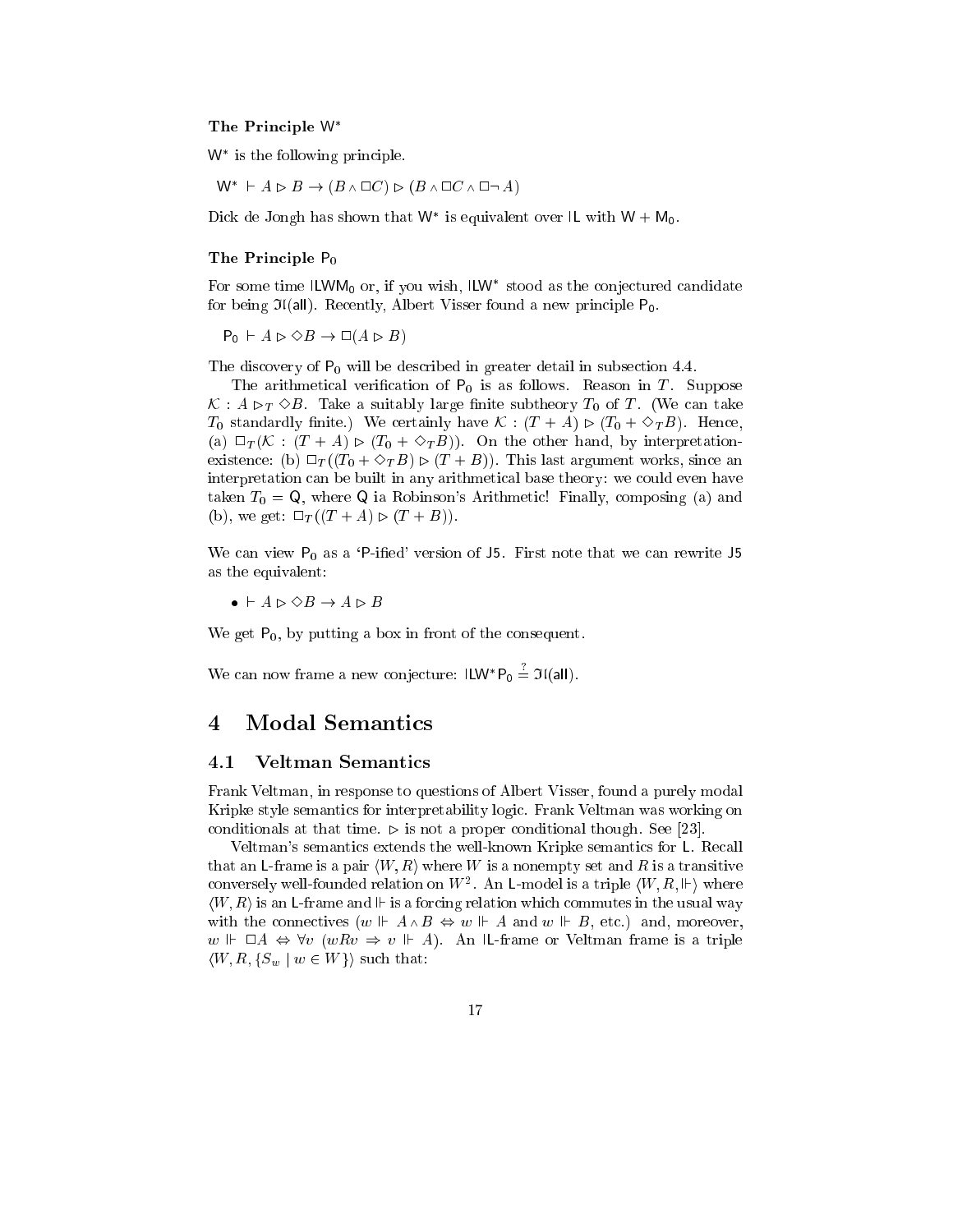#### The Principle W

W is the following principle.

 $\mathsf{W}^{*} \ \vdash A \rhd B \to (B \land \Box C) \rhd (B \land \Box C \land \Box \neg\ A)$ 

Dick de Jongh has shown that W is equivalent over IL with W  $+$  M<sub>0</sub>.

#### The Principle P<sub>0</sub>

For some time ILWM0 or, if you wish, ILW stood as the conjectured candidate for being  $\mathfrak{I}(\text{all})$ . Recently, Albert Visser found a new principle  $P_0$ .

 $P_0$   $\vdash A \rhd \Diamond B \rightarrow \Box (A \rhd B)$ 

The discovery of P0 will be described in greater detail in subsection 4.4.

The arithmetical verification of  $P_0$  is as follows. Reason in T. Suppose  $\mathcal{K}$  :  $A \rhd_T \Diamond B$ . Take a suitably large finite subtheory  $T_0$  of T. (We can take  $T_0$  standardly finite.) We certainly have  $\mathcal{K}$  :  $(T+A) \rhd (T_0 + \Diamond_T B)$ . Hence, (a)  $\Box_T (K : (T + A) \triangleright (T_0 + \Diamond_T B))$ . On the other hand, by interpretationexistence: (b)  $\Box_T((T_0 + \Diamond_T B) \triangleright (T + B))$ . This last argument works, since an interpretation can be built in any arithmetical base theory: we could even have taken  $T_0 = \mathsf{Q}$ , where  $\mathsf{Q}$  ia Robinson's Arithmetic! Finally, composing (a) and (b), we get:  $\Box_T((T+A) \triangleright (T+B)).$ 

We can view  $P_0$  as a 'P-ified' version of J5. First note that we can rewrite J5 as the equivalent:

 $\bullet\ \vdash A \rhd \diamond B \to A \rhd B$ 

We get  $P_0$ , by putting a box in front of the consequent.

We can now frame a new conjecture:  $I L W^* P_0 = J I (all)$ .

#### 4 Modal Semantics  $\overline{4}$

#### 4.1 Veltman Semantics

Frank Veltman, in response to questions of Albert Visser, found a purely modal Kripke style semantics for interpretability logic. Frank Veltman was working on conditionals at that time.  $\triangleright$  is not a proper conditional though. See [23].

Veltman's semantics extends the well-known Kripke semantics for L. Recall that an L-frame is a pair  $\langle W, R \rangle$  where W is a nonempty set and R is a transitive conversely well-founded relation on  $W^2$ . An L-model is a triple  $\langle W, R, \Vdash \rangle$  where  $\langle W, R \rangle$  is an L-frame and  $\mathbb{F}$  is a forcing relation which commutes in the usual way with the connectives  $(w \Vdash A \wedge B \Leftrightarrow w \Vdash A$  and  $w \Vdash B$ , etc.) and, moreover,  $w \Vdash \Box A \Leftrightarrow \forall v \ (wRv \Rightarrow v \Vdash A)$ . An IL-frame or Veltman frame is a triple  $\langle W, R, \{S_w \mid w \in W\} \rangle$  such that: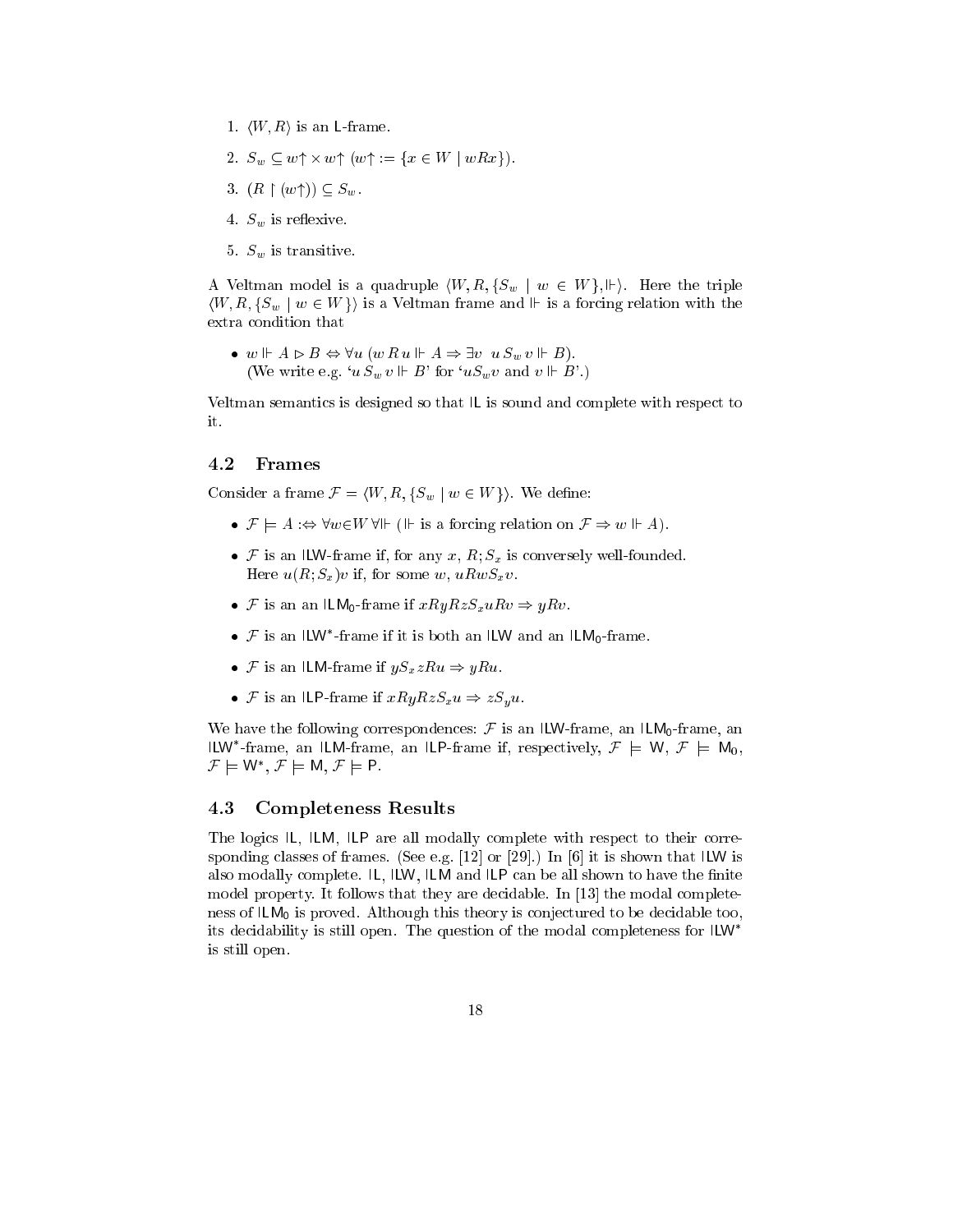- 1.  $\langle W, R \rangle$  is an L-frame.
- 2.  $S_w \subseteq w \uparrow \times w \uparrow (w \uparrow := \{x \in W \mid wRx\}).$
- 3.  $(R \restriction (w\uparrow)) \subseteq S_w$ .
- 4.  $S_w$  is reflexive.
- 5.  $S_w$  is transitive.

A Veltman model is a quadruple  $\langle W, R, \{S_w \mid w \in W\}, \Vdash \rangle$ . Here the triple  $\langle W, R, \{S_w \mid w \in W\} \rangle$  is a Veltman frame and  $\Vdash$  is a forcing relation with the extra condition that

•  $w \Vdash A \rhd B \Leftrightarrow \forall u \ (w \ R \ u \Vdash A \Rightarrow \exists v \ u \ S_w \ v \Vdash B).$ (We write e.g. ' $u S_w v \Vdash B$ ' for ' $u S_w v$  and  $v \Vdash B'$ .)

Veltman semantics is designed so that IL is sound and complete with respect to it.

#### 4.2 Frames

Consider a frame  $\mathcal{F} = \langle W, R, \{S_w \mid w \in W\} \rangle$ . We define:

- $\mathcal{F} \models A : \Leftrightarrow \forall w \in W \ \forall \Vdash (\Vdash$  is a forcing relation on  $\mathcal{F} \Rightarrow w \Vdash A$ .
- F is an ILW-frame if, for any x,  $R; S_x$  is conversely well-founded. Here  $u(R; S_x)v$  if, for some w,  $uRwS_xv$ .
- F is an an ILM<sub>0</sub>-frame if  $xRyRzS_xuRv \Rightarrow yRv$ .
- $\bullet$   $\neq$  is an ILW -frame if it is both an ILW and an ILM<sub>0</sub>-frame.
- F is an ILM-frame if  $yS_xzRu \Rightarrow yRu$ .
- F is an ILP-frame if  $xRyRzS_xu \Rightarrow zS_yu$ .

We have the following correspondences:  $\mathcal F$  is an ILW-frame, an ILM<sub>0</sub>-frame, an ILW -frame, an ILM-frame, an ILP-frame if, respectively,  $\mathcal{F} \models W, \mathcal{F} \models W_0,$  $\mathcal{F} \vDash W$  ,  $\mathcal{F} \vDash W$ ,  $\mathcal{F} \vDash \mathsf{F}$  .

#### 4.3 Completeness Results

The logics IL, ILM, ILP are all modally complete with respect to their corresponding classes of frames. (See e.g.  $[12]$  or  $[29]$ .) In  $[6]$  it is shown that ILW is also modally complete.  $IL$ , ILW, ILM and ILP can be all shown to have the finite model property. It follows that they are decidable. In [13] the modal completeness of ILM0 is proved. Although this this this thing to be decided to be decided to be its decidability is still open. The question of the modal completeness for ILW is still open.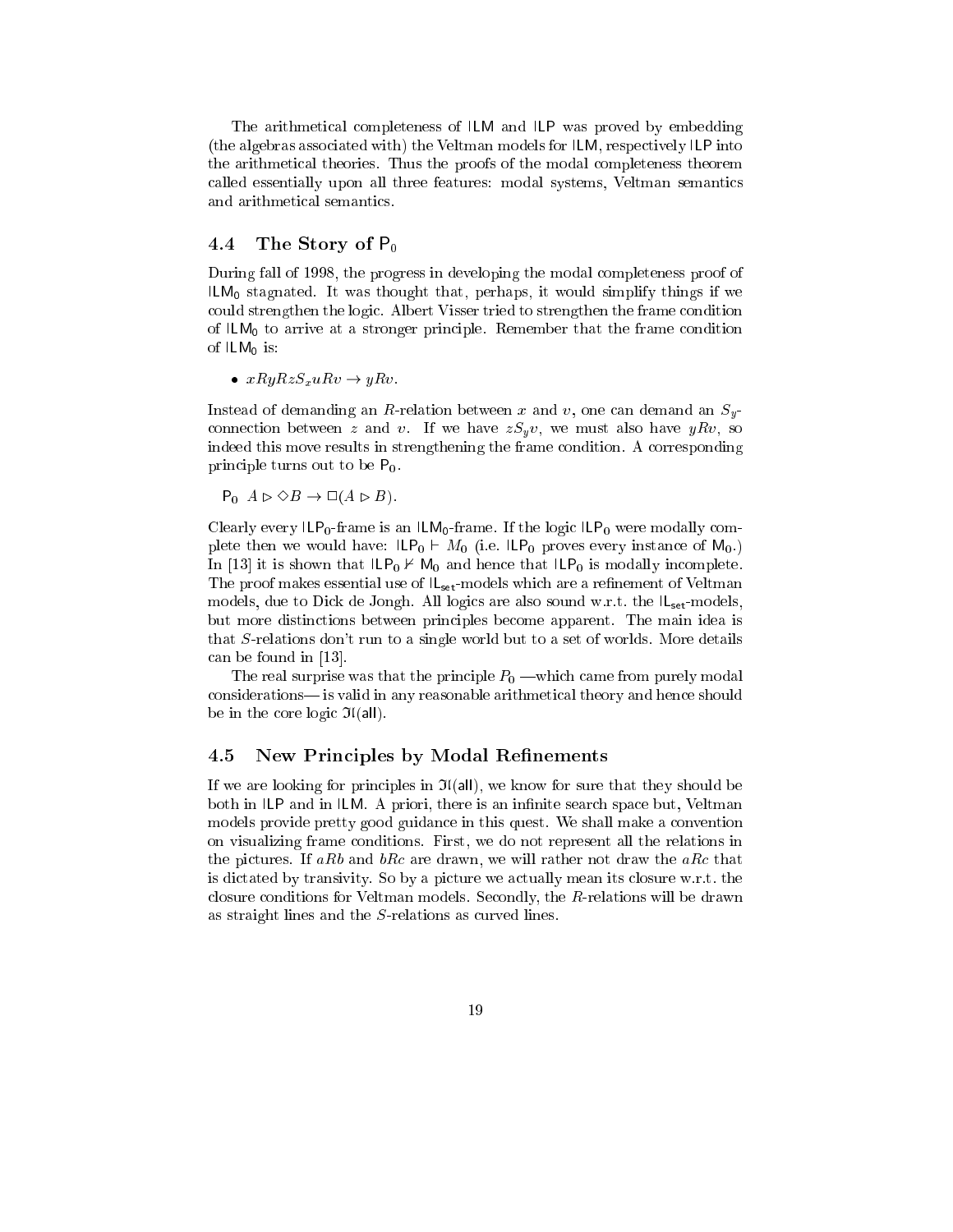The arithmetical completeness of ILM and ILP was proved by embedding (the algebras associated with) the Veltman models for ILM, respectively ILP into the arithmetical theories. Thus the proofs of the modal completeness theorem called essentially upon all three features: modal systems, Veltman semantics and arithmetical semantics.

## 4.4 The Story of  $P_0$

During fall of 1998, the progress in developing the modal completeness proof of ILM0 stagnated. It was thought that, perhaps, it would simplify things if we could strengthen the logic. Albert Visser tried to strengthen the frame condition of ILM0 to arrive at <sup>a</sup> stronger principle. Remember that the frame condition of ILM0 is:

•  $xRyRzS_xuRv \rightarrow yRv$ .

Instead of demanding an R-relation between x and v, one can demand an  $S_{y}$ connection between z and v. If we have  $zS_yv$ , we must also have  $yRv$ , so indeed this move results in strengthening the frame condition. A corresponding principle turns out to be  $P_0$ .

 $P_0$   $A \rhd \Diamond B \to \Box (A \rhd B).$ 

Clearly every ILP0-frame is an ILM0-frame. If the logic ILP0 were modally complete then we would have:  $\mathsf{ILP}_0 \vdash M_0$  (i.e.  $\mathsf{ILP}_0$  proves every instance of  $\mathsf{M}_0$ .) In [13] it is shown that ILP0 <sup>0</sup> M0 and hence that ILP0 is modally incomplete. The proof makes essential use of ILset -models which are <sup>a</sup> renement of Veltman models, due to Dick de Jongh. All logics are also sound w.r.t. the  $|L_{set}$ -models, but more distinctions between principles become apparent. The main idea is that S-relations don't run to a single world but to a set of worlds. More details can be found in [13].

The real surprise was that the principle  $P_0$  —which came from purely modal considerations| is valid in any reasonable arithmetical theory and hence should be in the core logic  $\mathfrak{I}(\mathsf{all})$ .

#### 4.5 New Principles by Modal Refinements

If we are looking for principles in  $\mathfrak{I}(\mathsf{all})$ , we know for sure that they should be both in ILP and in ILM. A priori, there is an infinite search space but, Veltman models provide pretty good guidance in this quest. We shall make a convention on visualizing frame conditions. First, we do not represent all the relations in the pictures. If aRb and  $bRc$  are drawn, we will rather not draw the aRc that is dictated by transivity. So by a picture we actually mean its closure w.r.t. the closure conditions for Veltman models. Secondly, the R-relations will be drawn as straight lines and the S-relations as curved lines.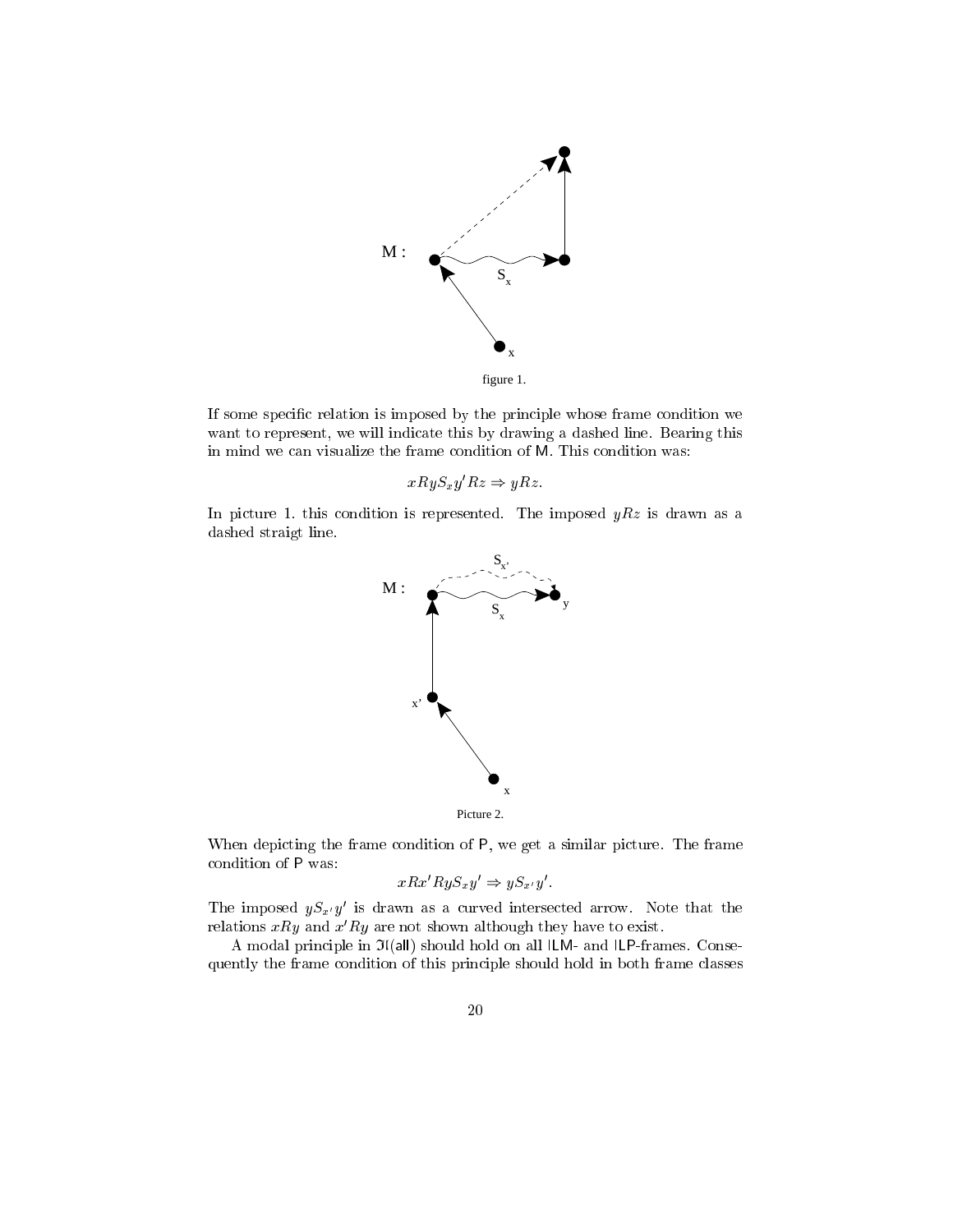

If some specic relation is imposed by the principle whose frame condition we want to represent, we will indicate this by drawing a dashed line. Bearing this in mind we can visualize the frame condition of M. This condition was:

$$
xRyS_xy'Rz \Rightarrow yRz.
$$

In picture 1. this condition is represented. The imposed  $yRz$  is drawn as a dashed straigt line.



When depicting the frame condition of P, we get a similar picture. The frame condition of P was:

$$
xRx'RyS_xy' \Rightarrow yS_{x'}y'.
$$

The imposed  $yS_{x'}y'$  is drawn as a curved intersected arrow. Note that the relations  $xRy$  and  $x'Ry$  are not shown although they have to exist.

A modal principle in  $\mathfrak{I}(\mathsf{all})$  should hold on all ILM- and ILP-frames. Consequently the frame condition of this principle should hold in both frame classes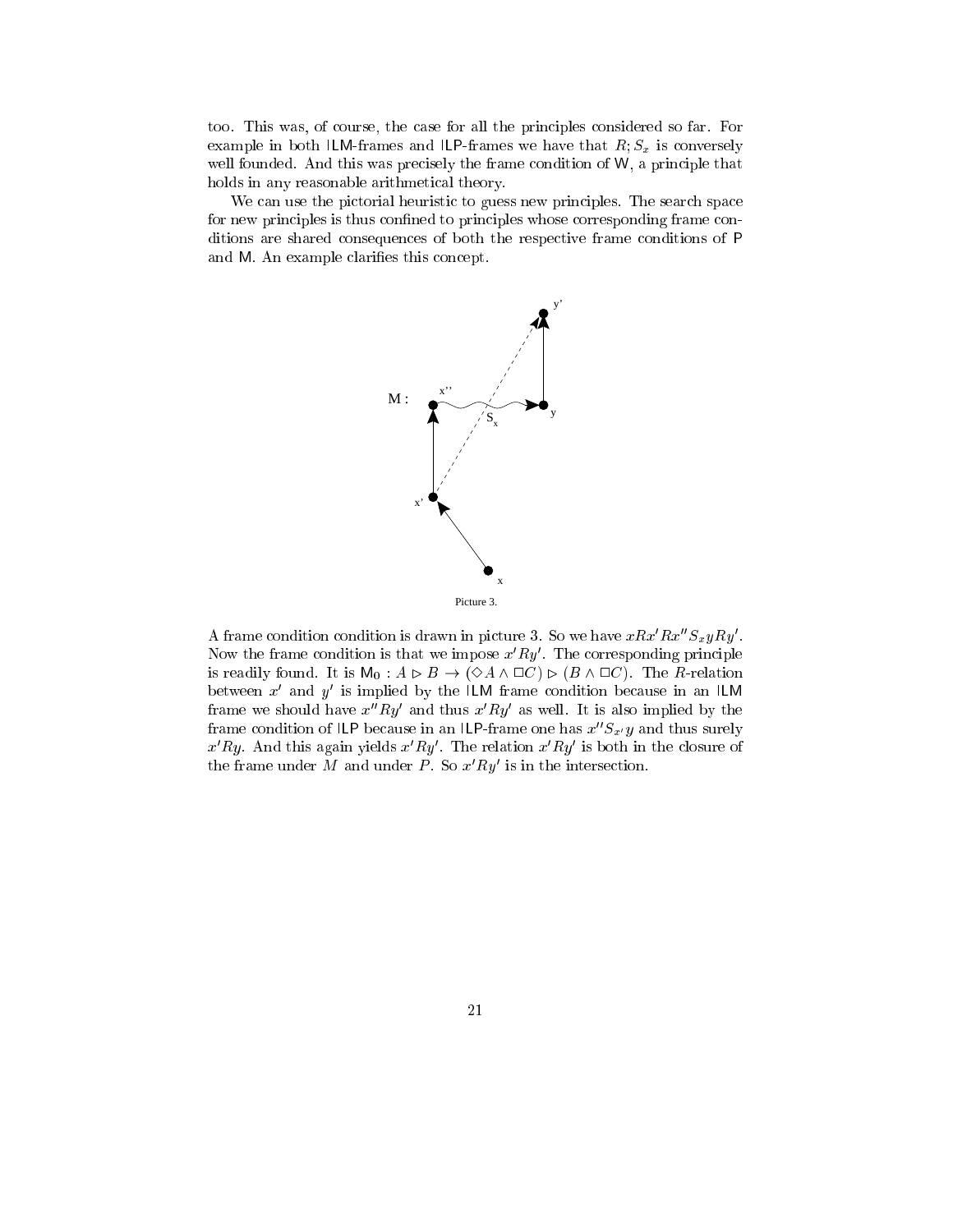too. This was, of course, the case for all the principles considered so far. For example in both ILM-frames and ILP-frames we have that  $R; S_x$  is conversely well founded. And this was precisely the frame condition of W, a principle that holds in any reasonable arithmetical theory.

We can use the pictorial heuristic to guess new principles. The search space for new principles is thus confined to principles whose corresponding frame conditions are shared consequences of both the respective frame conditions of P and M. An example clarifies this concept.



A frame condition condition is drawn in picture 3. So we have  $xRx'Rx''S_{x}yRy'$ . Now the frame condition is that we impose  $x'Ry'$ . The corresponding principle is readily found. It is  $M_0: A \rhd B \to (\Diamond A \wedge \Box C) \rhd (B \wedge \Box C)$ . The R-relation between x and y is implied by the ILM frame condition because in an ILM frame we should have  $x''Ry'$  and thus  $x'Ry'$  as well. It is also implied by the frame condition of ILP because in an ILP-frame one has  $x''S_{x'}y$  and thus surely  $x'Ry$ . And this again yields  $x'Ry'$ . The relation  $x'Ry'$  is both in the closure of the frame under M and under P. So  $x'Ry'$  is in the intersection.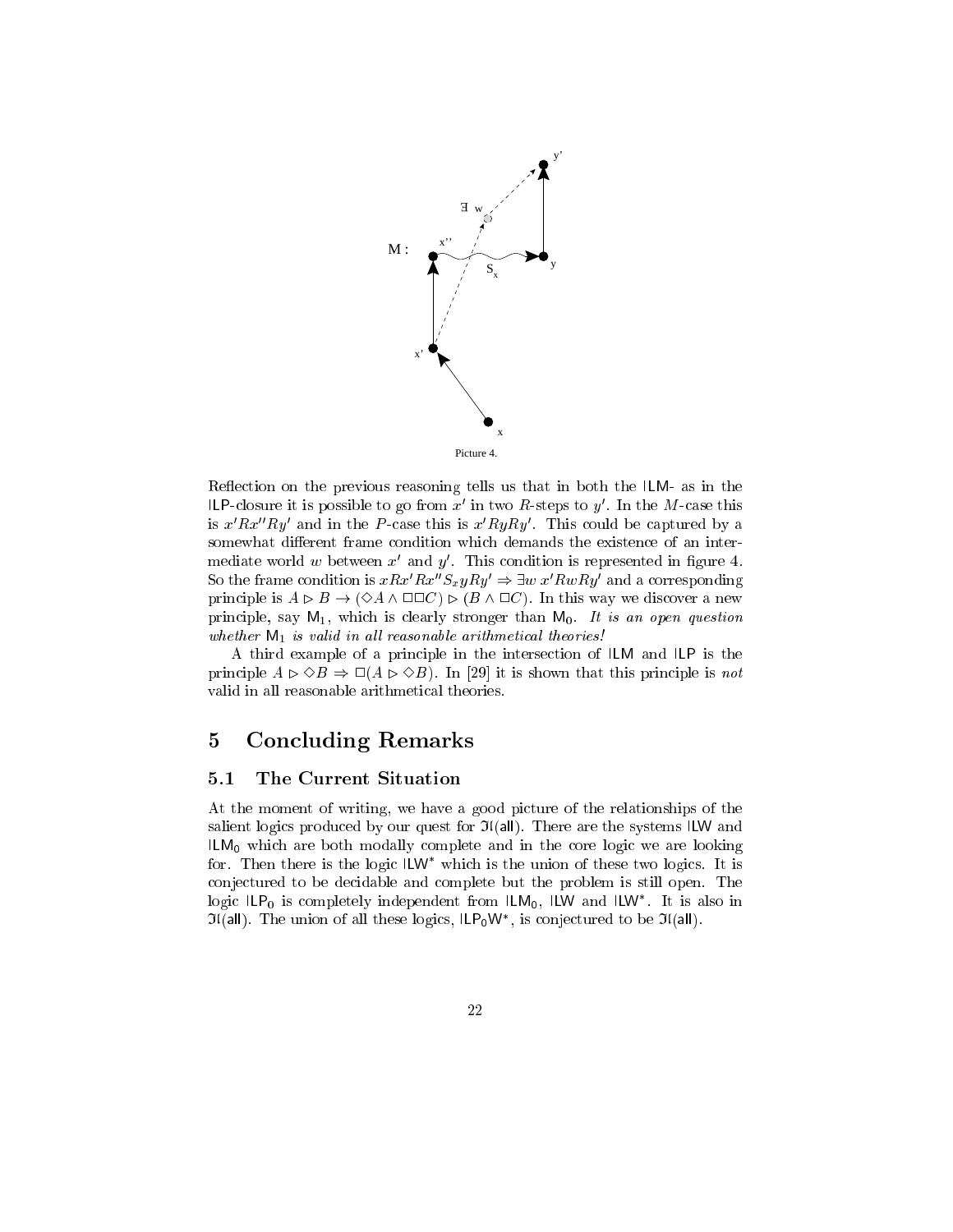

Reflection on the previous reasoning tells us that in both the ILM- as in the ILP-closure it is possible to go from  $x'$  in two R-steps to  $y'$ . In the M-case this is  $x'Rx''Ry'$  and in the P-case this is  $x'RyRy'$ . This could be captured by a somewhat different frame condition which demands the existence of an intermediate world  $w$  between  $x^{\prime}$  and  $y^{\prime}$ . This condition is represented in figure 4. So the frame condition is  $xRx''S_xyRy'\Rightarrow \exists w\;x'RwRy'$  and a corresponding principle is  $A \triangleright B \to (\Diamond A \wedge \Box \Box C) \triangleright (B \wedge \Box C)$ . In this way we discover a new principle, say  $M_1$ , which is clearly stronger than  $M_0$ . It is an open question whether M1 is valid in all l reasonable arithmetical theories. We are also assumed the arithmetical theories!

A third example of a principle in the intersection of ILM and ILP is the principle  $A \triangleright \Diamond B \Rightarrow \Box(A \triangleright \Diamond B)$ . In [29] it is shown that this principle is not valid in all reasonable arithmetical theories.

# 5 Concluding Remarks

## 5.1 The Current Situation

At the moment of writing, we have a good picture of the relationships of the salient logics produced by our quest for  $\mathfrak{I}(\mathsf{all})$ . There are the systems ILW and ILM0 which are both modally complete and in the core logic we are looking for. Then there is the logic ILW which is the union of these two logics. It is conjectured to be decidable and complete but the problem is still open. The logic ILP<sub>0</sub> is completely independent from ILM<sub>0</sub>, ILW and ILW . It is also in  $J($ all). The union of all these logics, ILP $_0$ W, and conjectured to be  $J($ all).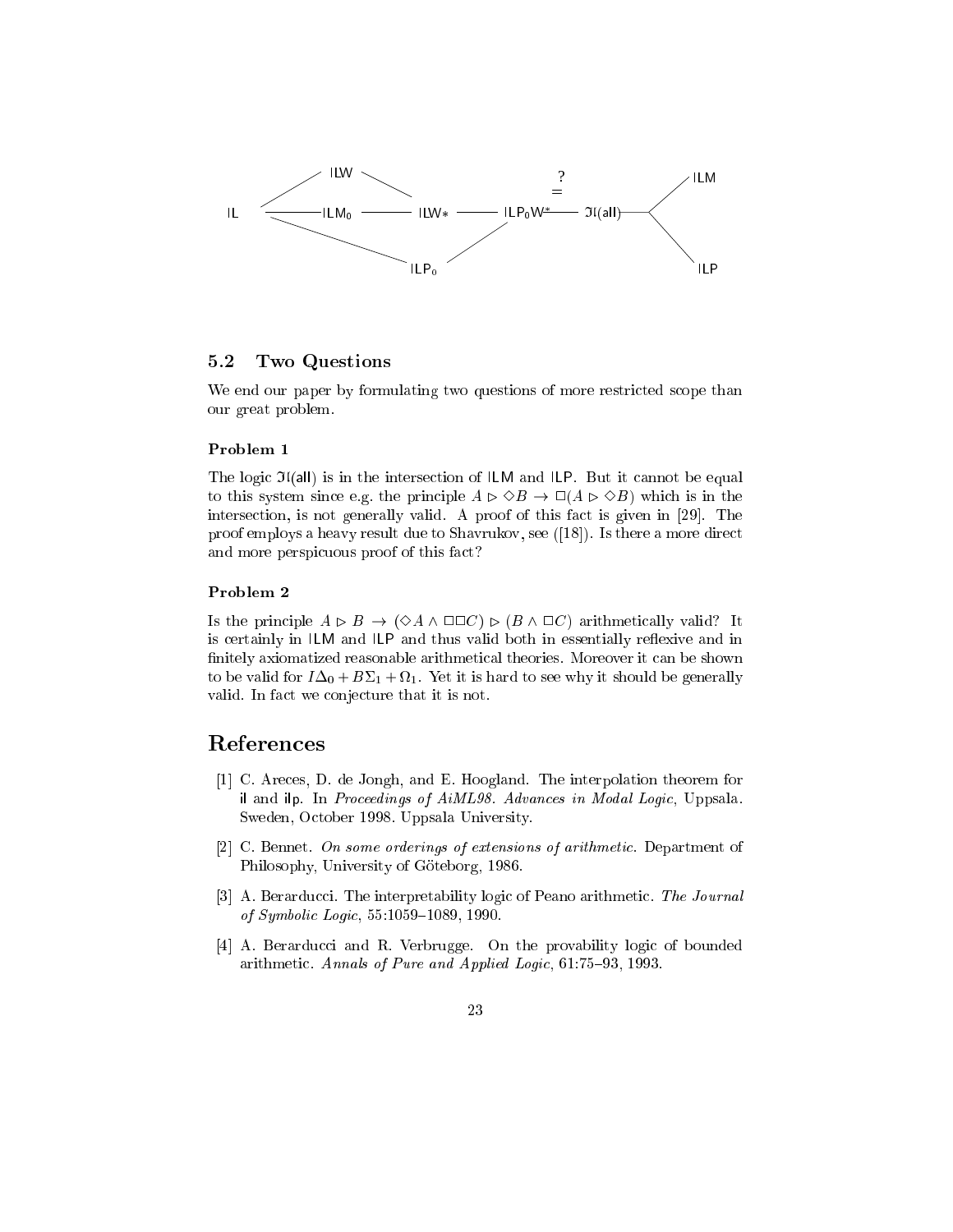

#### 5.2 Two Questions

We end our paper by formulating two questions of more restricted scope than our great problem.

#### Problem 1

The logic  $\mathfrak{I}(\mathsf{all})$  is in the intersection of ILM and ILP. But it cannot be equal to this system since e.g. the principle  $A \triangleright \Diamond B \rightarrow \Box (A \triangleright \Diamond B)$  which is in the intersection, is not generally valid. A proof of this fact is given in [29]. The proof employs a heavy result due to Shavrukov, see ([18]). Is there a more direct and more perspicuous proof of this fact?

#### Problem 2

Is the principle  $A \triangleright B \to (\Diamond A \wedge \Box \Box C) \triangleright (B \wedge \Box C)$  arithmetically valid? It is certainly in  $ILM$  and  $ILP$  and thus valid both in essentially reflexive and in nitely axiomatized reasonable arithmetical theories. Moreover it can be shown to be valid for  $I\Delta_0 + B\Sigma_1 + \Omega_1$ . Yet it is hard to see why it should be generally valid. In fact we conjecture that it is not.

## References

- [1] C. Areces, D. de Jongh, and E. Hoogland. The interpolation theorem for il and ilp. In Proceedings of AiML98. Advances in Modal Logic, Uppsala. Sweden, October 1998. Uppsala University.
- [2] C. Bennet. On some orderings of extensions of arithmetic. Department of Philosophy, University of Göteborg, 1986.
- [3] A. Berarducci. The interpretability logic of Peano arithmetic. The Journal of Symbolic Logic, 55:1059-1089, 1990.
- [4] A. Berarducci and R. Verbrugge. On the provability logic of bounded arithmetic. Annals of Pure and Applied Logic,  $61:75{-}93, 1993$ .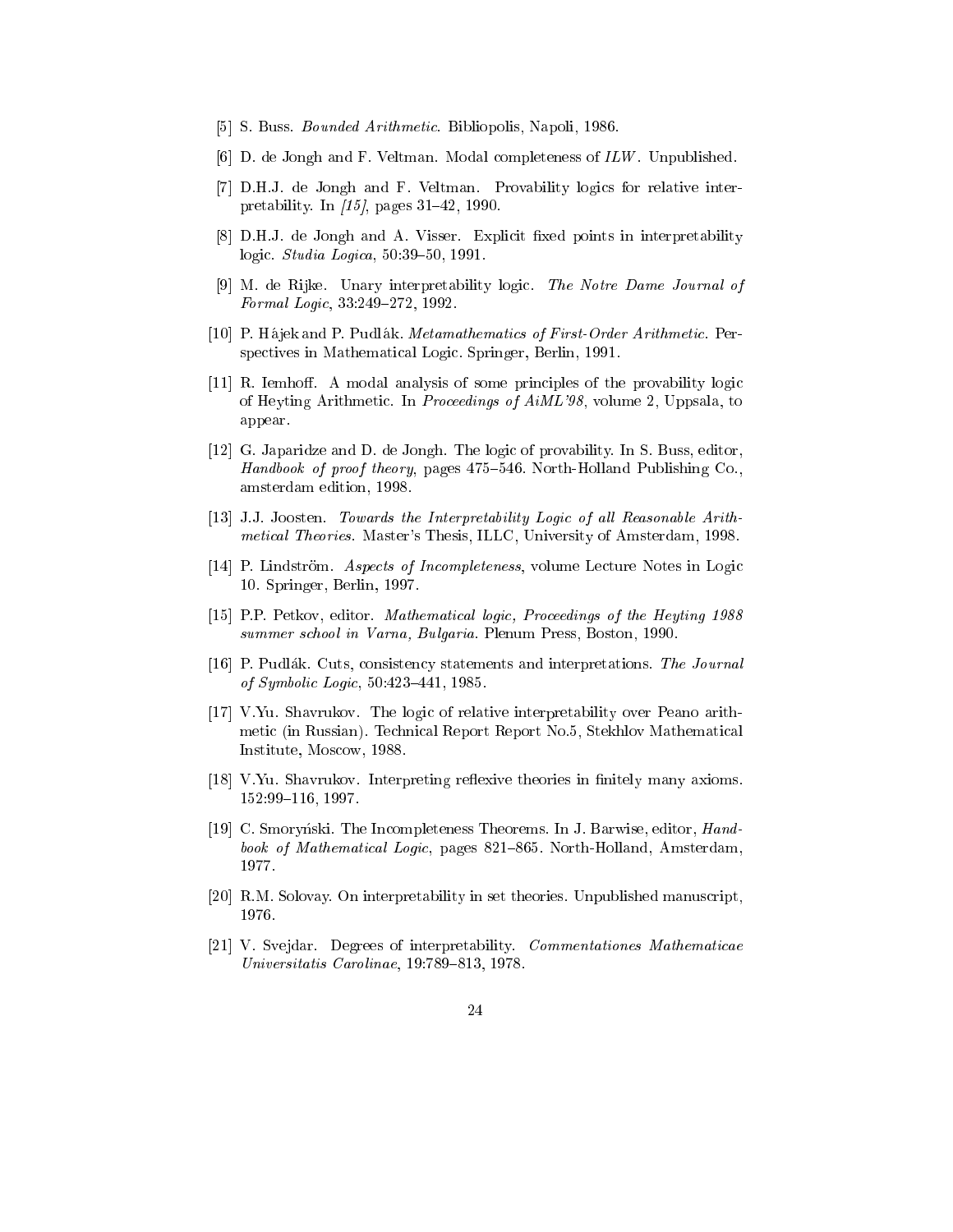- [5] S. Buss. Bounded Arithmetic. Bibliopolis, Napoli, 1986.
- [6] D. de Jongh and F. Veltman. Modal completeness of ILW . Unpublished.
- [7] D.H.J. de Jongh and F. Veltman. Provability logics for relative interpretability. In  $\langle 15 \rangle$ , pages 31-42, 1990.
- [8] D.H.J. de Jongh and A. Visser. Explicit fixed points in interpretability logic. *Studia Logica*,  $50:39-50$ , 1991.
- [9] M. de Rijke. Unary interpretability logic. The Notre Dame Journal of Formal Logic,  $33:249-272$ , 1992.
- [10] P. Hajek and P. Pudlak. Metamathematics of First-Order Arithmetic. Perspectives in Mathematical Logic. Springer, Berlin, 1991.
- [11] R. Iemhoff. A modal analysis of some principles of the provability logic of Heyting Arithmetic. In Proceedings of AiML'98, volume 2, Uppsala, to appear.
- [12] G. Japaridze and D. de Jongh. The logic of provability. In S. Buss, editor, Handbook of proof theory, pages 475-546. North-Holland Publishing Co., amsterdam edition, 1998.
- [13] J.J. Joosten. Towards the Interpretability Logic of al l Reasonable Arithmetical Theories. Master's Thesis, ILLC, University of Amsterdam, 1998.
- [14] P. Lindström. Aspects of Incompleteness, volume Lecture Notes in Logic 10. Springer, Berlin, 1997.
- [15] P.P. Petkov, editor. Mathematical logic, Proceedings of the Heyting 1988 summer school in Varna, Bulgaria. Plenum Press, Boston, 1990.
- [16] P. Pudlak. Cuts, consistency statements and interpretations. The Journal of Symbolic Logic, 50:423-441, 1985.
- [17] V.Yu. Shavrukov. The logic of relative interpretability over Peano arithmetic (in Russian). Technical Report Report No.5, Stekhlov Mathematical Institute, Moscow, 1988.
- [18] V.Yu. Shavrukov. Interpreting reflexive theories in finitely many axioms. 152:99-116, 1997.
- [19] C. Smorynski. The Incompleteness Theorems. In J. Barwise, editor, *Hand*book of Mathematical Logic, pages 821-865. North-Holland, Amsterdam, 1977.
- [20] R.M. Solovay. On interpretability in set theories. Unpublished manuscript, 1976.
- [21] V. Svejdar. Degrees of interpretability. Commentationes Mathematicae Universitatis Carolinae,  $19.789 - 813$ ,  $1978$ .